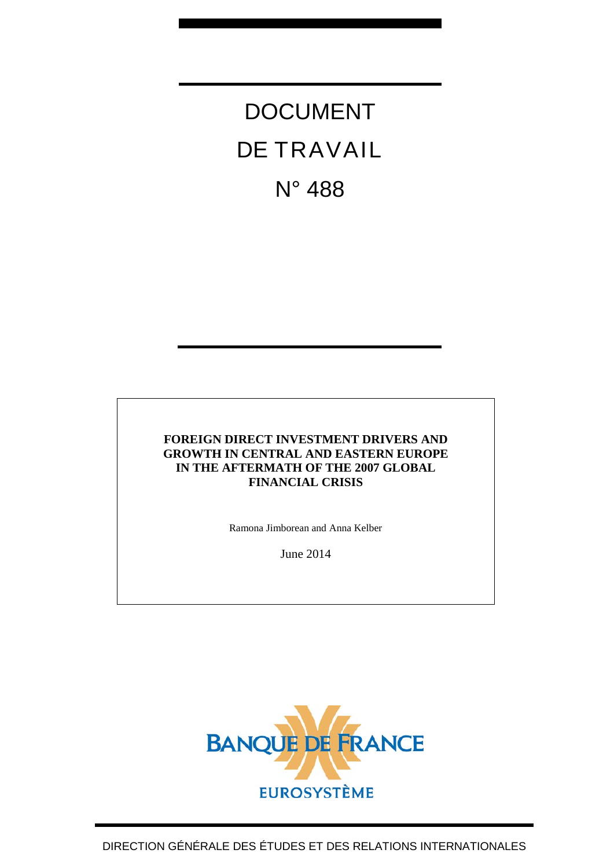# DOCUMENT DE TRAVAIL N° 488

#### **FOREIGN DIRECT INVESTMENT DRIVERS AND GROWTH IN CENTRAL AND EASTERN EUROPE IN THE AFTERMATH OF THE 2007 GLOBAL FINANCIAL CRISIS**

Ramona Jimborean and Anna Kelber

June 2014

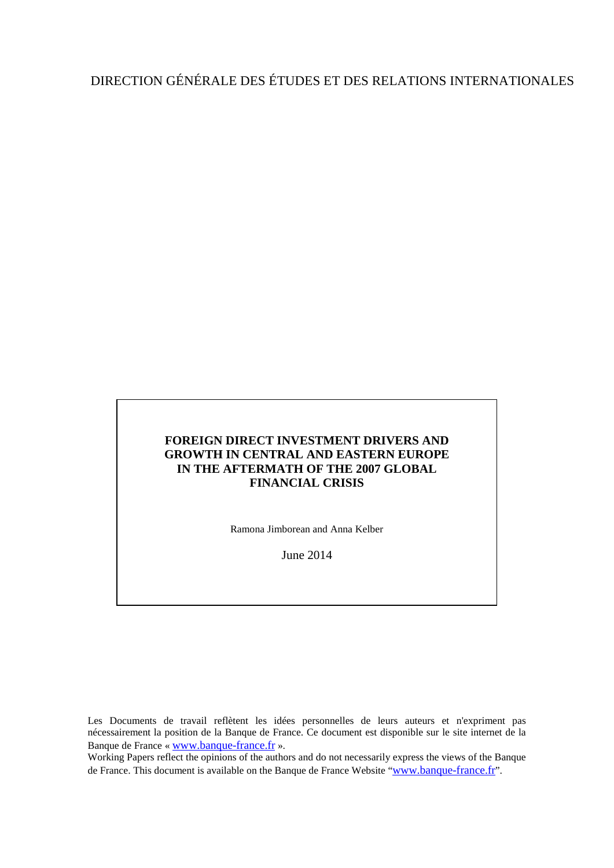## DIRECTION GÉNÉRALE DES ÉTUDES ET DES RELATIONS INTERNATIONALES

#### **FOREIGN DIRECT INVESTMENT DRIVERS AND GROWTH IN CENTRAL AND EASTERN EUROPE IN THE AFTERMATH OF THE 2007 GLOBAL FINANCIAL CRISIS**

Ramona Jimborean and Anna Kelber

June 2014

Les Documents de travail reflètent les idées personnelles de leurs auteurs et n'expriment pas nécessairement la position de la Banque de France. Ce document est disponible sur le site internet de la Banque de France « [www.banque-france.fr](http://www.banque-france.fr/) ».

Working Papers reflect the opinions of the authors and do not necessarily express the views of the Banque de France. This document is available on the Banque de France Website ["www.banque-france.fr"](http://www.banque-france.fr/).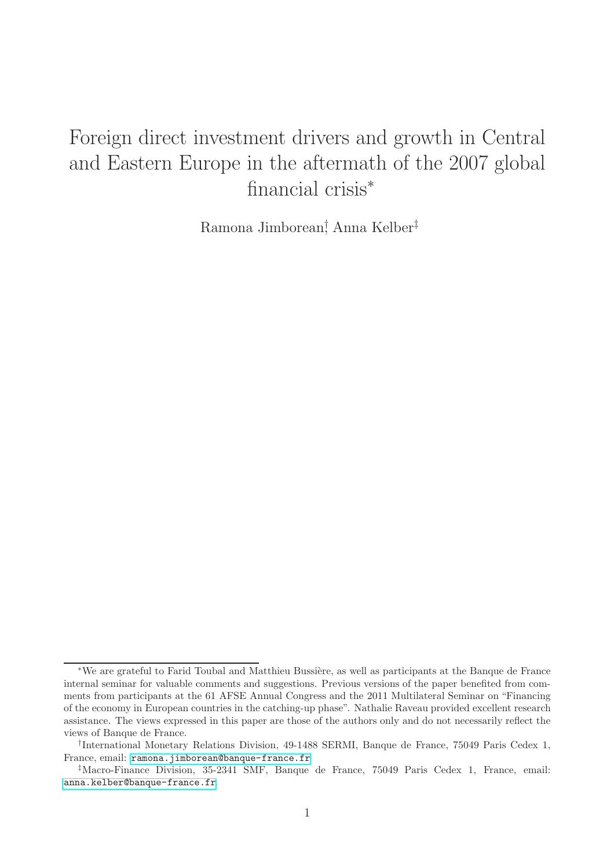## Foreign direct investment drivers and growth in Central and Eastern Europe in the aftermath of the 2007 global financial crisis<sup>\*</sup>

Ramona Jimborean† , Anna Kelber‡

<sup>∗</sup>We are grateful to Farid Toubal and Matthieu Bussi`ere, as well as participants at the Banque de France internal seminar for valuable comments and suggestions. Previous versions of the paper benefited from comments from participants at the 61 AFSE Annual Congress and the 2011 Multilateral Seminar on "Financing of the economy in European countries in the catching-up phase". Nathalie Raveau provided excellent research assistance. The views expressed in this paper are those of the authors only and do not necessarily reflect the views of Banque de France.

<sup>†</sup> International Monetary Relations Division, 49-1488 SERMI, Banque de France, 75049 Paris Cedex 1, France, email: <ramona.jimborean@banque-france.fr>

<sup>‡</sup>Macro-Finance Division, 35-2341 SMF, Banque de France, 75049 Paris Cedex 1, France, email: <anna.kelber@banque-france.fr>.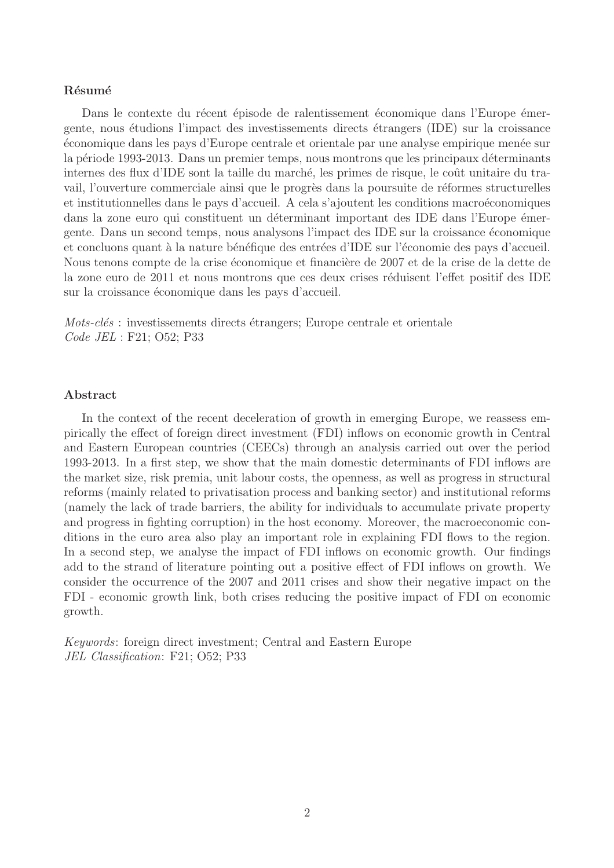#### Résumé

Dans le contexte du récent épisode de ralentissement économique dans l'Europe émergente, nous étudions l'impact des investissements directs étrangers (IDE) sur la croissance ´economique dans les pays d'Europe centrale et orientale par une analyse empirique men´ee sur la période 1993-2013. Dans un premier temps, nous montrons que les principaux déterminants internes des flux d'IDE sont la taille du marché, les primes de risque, le coût unitaire du travail, l'ouverture commerciale ainsi que le progrès dans la poursuite de réformes structurelles et institutionnelles dans le pays d'accueil. A cela s'ajoutent les conditions macroéconomiques dans la zone euro qui constituent un déterminant important des IDE dans l'Europe émergente. Dans un second temps, nous analysons l'impact des IDE sur la croissance économique et concluons quant à la nature bénéfique des entrées d'IDE sur l'économie des pays d'accueil. Nous tenons compte de la crise économique et financière de 2007 et de la crise de la dette de la zone euro de 2011 et nous montrons que ces deux crises réduisent l'effet positif des IDE sur la croissance économique dans les pays d'accueil.

 $Mots-*c*lés$ : investissements directs étrangers; Europe centrale et orientale Code JEL : F21; O52; P33

#### Abstract

In the context of the recent deceleration of growth in emerging Europe, we reassess empirically the effect of foreign direct investment (FDI) inflows on economic growth in Central and Eastern European countries (CEECs) through an analysis carried out over the period 1993-2013. In a first step, we show that the main domestic determinants of FDI inflows are the market size, risk premia, unit labour costs, the openness, as well as progress in structural reforms (mainly related to privatisation process and banking sector) and institutional reforms (namely the lack of trade barriers, the ability for individuals to accumulate private property and progress in fighting corruption) in the host economy. Moreover, the macroeconomic conditions in the euro area also play an important role in explaining FDI flows to the region. In a second step, we analyse the impact of FDI inflows on economic growth. Our findings add to the strand of literature pointing out a positive effect of FDI inflows on growth. We consider the occurrence of the 2007 and 2011 crises and show their negative impact on the FDI - economic growth link, both crises reducing the positive impact of FDI on economic growth.

Keywords: foreign direct investment; Central and Eastern Europe JEL Classification: F21; O52; P33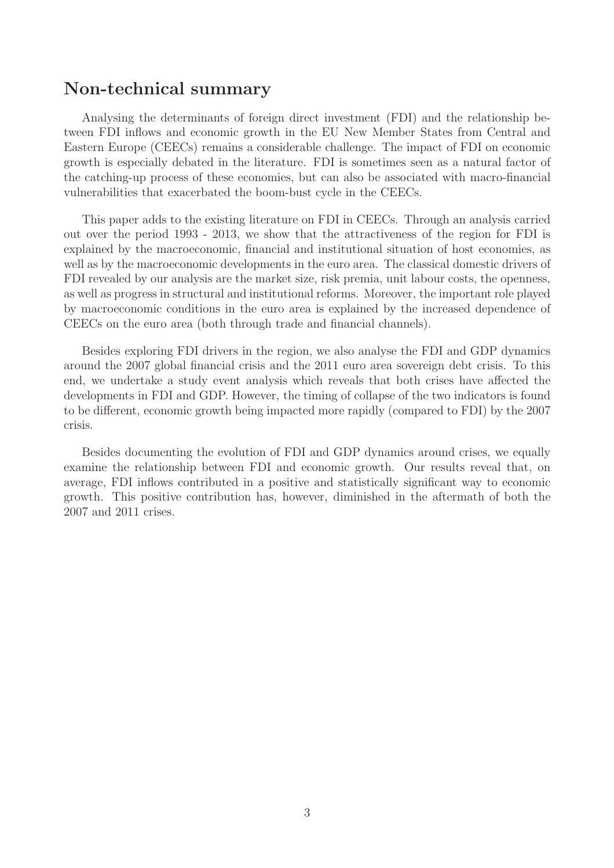### Non-technical summary

Analysing the determinants of foreign direct investment (FDI) and the relationship between FDI inflows and economic growth in the EU New Member States from Central and Eastern Europe (CEECs) remains a considerable challenge. The impact of FDI on economic growth is especially debated in the literature. FDI is sometimes seen as a natural factor of the catching-up process of these economies, but can also be associated with macro-financial vulnerabilities that exacerbated the boom-bust cycle in the CEECs.

This paper adds to the existing literature on FDI in CEECs. Through an analysis carried out over the period 1993 - 2013, we show that the attractiveness of the region for FDI is explained by the macroeconomic, financial and institutional situation of host economies, as well as by the macroeconomic developments in the euro area. The classical domestic drivers of FDI revealed by our analysis are the market size, risk premia, unit labour costs, the openness, as well as progress in structural and institutional reforms. Moreover, the important role played by macroeconomic conditions in the euro area is explained by the increased dependence of CEECs on the euro area (both through trade and financial channels).

Besides exploring FDI drivers in the region, we also analyse the FDI and GDP dynamics around the 2007 global financial crisis and the 2011 euro area sovereign debt crisis. To this end, we undertake a study event analysis which reveals that both crises have affected the developments in FDI and GDP. However, the timing of collapse of the two indicators is found to be different, economic growth being impacted more rapidly (compared to FDI) by the 2007 crisis.

Besides documenting the evolution of FDI and GDP dynamics around crises, we equally examine the relationship between FDI and economic growth. Our results reveal that, on average, FDI inflows contributed in a positive and statistically significant way to economic growth. This positive contribution has, however, diminished in the aftermath of both the 2007 and 2011 crises.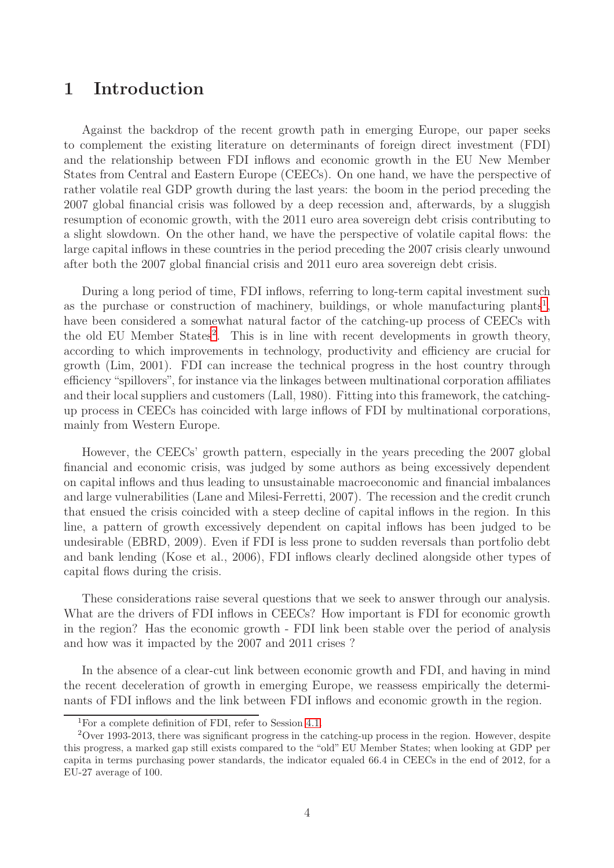## 1 Introduction

Against the backdrop of the recent growth path in emerging Europe, our paper seeks to complement the existing literature on determinants of foreign direct investment (FDI) and the relationship between FDI inflows and economic growth in the EU New Member States from Central and Eastern Europe (CEECs). On one hand, we have the perspective of rather volatile real GDP growth during the last years: the boom in the period preceding the 2007 global financial crisis was followed by a deep recession and, afterwards, by a sluggish resumption of economic growth, with the 2011 euro area sovereign debt crisis contributing to a slight slowdown. On the other hand, we have the perspective of volatile capital flows: the large capital inflows in these countries in the period preceding the 2007 crisis clearly unwound after both the 2007 global financial crisis and 2011 euro area sovereign debt crisis.

During a long period of time, FDI inflows, referring to long-term capital investment such as the purchase or construction of machinery, buildings, or whole manufacturing plants<sup>1</sup>, have been considered a somewhat natural factor of the catching-up process of CEECs with the old EU Member States<sup>2</sup>. This is in line with recent developments in growth theory, according to which improvements in technology, productivity and efficiency are crucial for growth (Lim, 2001). FDI can increase the technical progress in the host country through efficiency "spillovers", for instance via the linkages between multinational corporation affiliates and their local suppliers and customers (Lall, 1980). Fitting into this framework, the catchingup process in CEECs has coincided with large inflows of FDI by multinational corporations, mainly from Western Europe.

However, the CEECs' growth pattern, especially in the years preceding the 2007 global financial and economic crisis, was judged by some authors as being excessively dependent on capital inflows and thus leading to unsustainable macroeconomic and financial imbalances and large vulnerabilities (Lane and Milesi-Ferretti, 2007). The recession and the credit crunch that ensued the crisis coincided with a steep decline of capital inflows in the region. In this line, a pattern of growth excessively dependent on capital inflows has been judged to be undesirable (EBRD, 2009). Even if FDI is less prone to sudden reversals than portfolio debt and bank lending (Kose et al., 2006), FDI inflows clearly declined alongside other types of capital flows during the crisis.

These considerations raise several questions that we seek to answer through our analysis. What are the drivers of FDI inflows in CEECs? How important is FDI for economic growth in the region? Has the economic growth - FDI link been stable over the period of analysis and how was it impacted by the 2007 and 2011 crises ?

In the absence of a clear-cut link between economic growth and FDI, and having in mind the recent deceleration of growth in emerging Europe, we reassess empirically the determinants of FDI inflows and the link between FDI inflows and economic growth in the region.

<sup>1</sup>For a complete definition of FDI, refer to Session [4.1.](#page-12-0)

<sup>&</sup>lt;sup>2</sup>Over 1993-2013, there was significant progress in the catching-up process in the region. However, despite this progress, a marked gap still exists compared to the "old" EU Member States; when looking at GDP per capita in terms purchasing power standards, the indicator equaled 66.4 in CEECs in the end of 2012, for a EU-27 average of 100.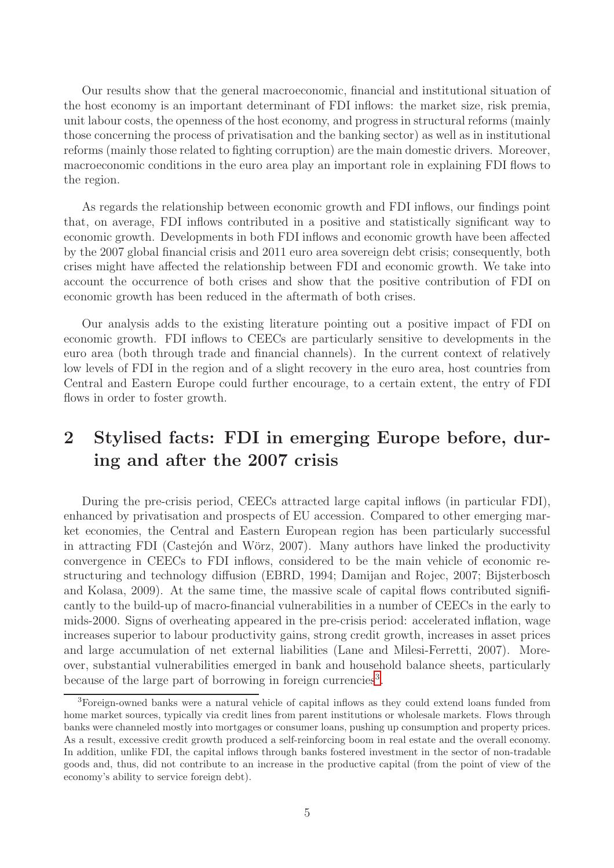Our results show that the general macroeconomic, financial and institutional situation of the host economy is an important determinant of FDI inflows: the market size, risk premia, unit labour costs, the openness of the host economy, and progress in structural reforms (mainly those concerning the process of privatisation and the banking sector) as well as in institutional reforms (mainly those related to fighting corruption) are the main domestic drivers. Moreover, macroeconomic conditions in the euro area play an important role in explaining FDI flows to the region.

As regards the relationship between economic growth and FDI inflows, our findings point that, on average, FDI inflows contributed in a positive and statistically significant way to economic growth. Developments in both FDI inflows and economic growth have been affected by the 2007 global financial crisis and 2011 euro area sovereign debt crisis; consequently, both crises might have affected the relationship between FDI and economic growth. We take into account the occurrence of both crises and show that the positive contribution of FDI on economic growth has been reduced in the aftermath of both crises.

Our analysis adds to the existing literature pointing out a positive impact of FDI on economic growth. FDI inflows to CEECs are particularly sensitive to developments in the euro area (both through trade and financial channels). In the current context of relatively low levels of FDI in the region and of a slight recovery in the euro area, host countries from Central and Eastern Europe could further encourage, to a certain extent, the entry of FDI flows in order to foster growth.

## 2 Stylised facts: FDI in emerging Europe before, during and after the 2007 crisis

During the pre-crisis period, CEECs attracted large capital inflows (in particular FDI), enhanced by privatisation and prospects of EU accession. Compared to other emerging market economies, the Central and Eastern European region has been particularly successful in attracting FDI (Castejon and Wörz, 2007). Many authors have linked the productivity convergence in CEECs to FDI inflows, considered to be the main vehicle of economic restructuring and technology diffusion (EBRD, 1994; Damijan and Rojec, 2007; Bijsterbosch and Kolasa, 2009). At the same time, the massive scale of capital flows contributed significantly to the build-up of macro-financial vulnerabilities in a number of CEECs in the early to mids-2000. Signs of overheating appeared in the pre-crisis period: accelerated inflation, wage increases superior to labour productivity gains, strong credit growth, increases in asset prices and large accumulation of net external liabilities (Lane and Milesi-Ferretti, 2007). Moreover, substantial vulnerabilities emerged in bank and household balance sheets, particularly because of the large part of borrowing in foreign currencies<sup>3</sup>.

<sup>3</sup>Foreign-owned banks were a natural vehicle of capital inflows as they could extend loans funded from home market sources, typically via credit lines from parent institutions or wholesale markets. Flows through banks were channeled mostly into mortgages or consumer loans, pushing up consumption and property prices. As a result, excessive credit growth produced a self-reinforcing boom in real estate and the overall economy. In addition, unlike FDI, the capital inflows through banks fostered investment in the sector of non-tradable goods and, thus, did not contribute to an increase in the productive capital (from the point of view of the economy's ability to service foreign debt).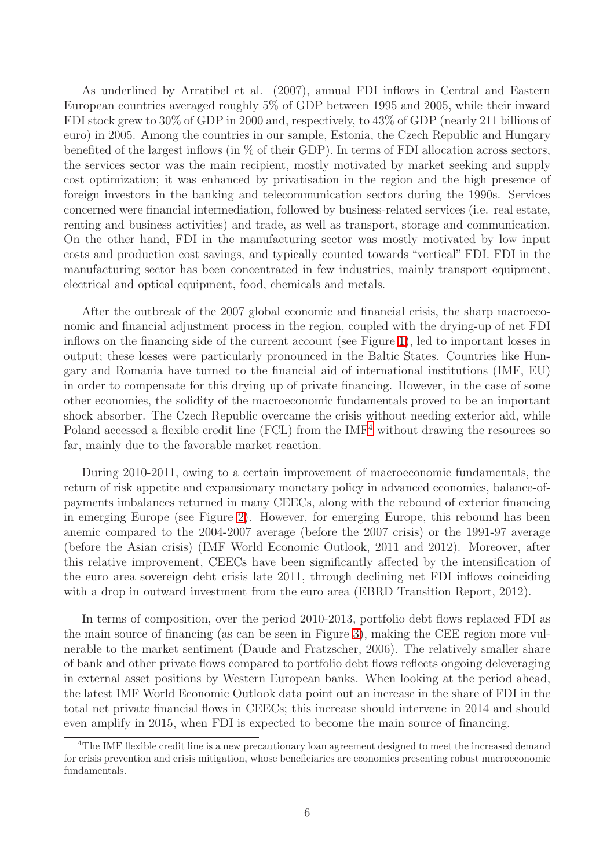As underlined by Arratibel et al. (2007), annual FDI inflows in Central and Eastern European countries averaged roughly 5% of GDP between 1995 and 2005, while their inward FDI stock grew to 30% of GDP in 2000 and, respectively, to 43% of GDP (nearly 211 billions of euro) in 2005. Among the countries in our sample, Estonia, the Czech Republic and Hungary benefited of the largest inflows (in % of their GDP). In terms of FDI allocation across sectors, the services sector was the main recipient, mostly motivated by market seeking and supply cost optimization; it was enhanced by privatisation in the region and the high presence of foreign investors in the banking and telecommunication sectors during the 1990s. Services concerned were financial intermediation, followed by business-related services (i.e. real estate, renting and business activities) and trade, as well as transport, storage and communication. On the other hand, FDI in the manufacturing sector was mostly motivated by low input costs and production cost savings, and typically counted towards "vertical" FDI. FDI in the manufacturing sector has been concentrated in few industries, mainly transport equipment, electrical and optical equipment, food, chemicals and metals.

After the outbreak of the 2007 global economic and financial crisis, the sharp macroeconomic and financial adjustment process in the region, coupled with the drying-up of net FDI inflows on the financing side of the current account (see Figure [1\)](#page-8-0), led to important losses in output; these losses were particularly pronounced in the Baltic States. Countries like Hungary and Romania have turned to the financial aid of international institutions (IMF, EU) in order to compensate for this drying up of private financing. However, in the case of some other economies, the solidity of the macroeconomic fundamentals proved to be an important shock absorber. The Czech Republic overcame the crisis without needing exterior aid, while Poland accessed a flexible credit line  $(FCL)$  from the IMF<sup>4</sup> without drawing the resources so far, mainly due to the favorable market reaction.

During 2010-2011, owing to a certain improvement of macroeconomic fundamentals, the return of risk appetite and expansionary monetary policy in advanced economies, balance-ofpayments imbalances returned in many CEECs, along with the rebound of exterior financing in emerging Europe (see Figure [2\)](#page-8-1). However, for emerging Europe, this rebound has been anemic compared to the 2004-2007 average (before the 2007 crisis) or the 1991-97 average (before the Asian crisis) (IMF World Economic Outlook, 2011 and 2012). Moreover, after this relative improvement, CEECs have been significantly affected by the intensification of the euro area sovereign debt crisis late 2011, through declining net FDI inflows coinciding with a drop in outward investment from the euro area (EBRD Transition Report, 2012).

In terms of composition, over the period 2010-2013, portfolio debt flows replaced FDI as the main source of financing (as can be seen in Figure [3\)](#page-9-0), making the CEE region more vulnerable to the market sentiment (Daude and Fratzscher, 2006). The relatively smaller share of bank and other private flows compared to portfolio debt flows reflects ongoing deleveraging in external asset positions by Western European banks. When looking at the period ahead, the latest IMF World Economic Outlook data point out an increase in the share of FDI in the total net private financial flows in CEECs; this increase should intervene in 2014 and should even amplify in 2015, when FDI is expected to become the main source of financing.

<sup>&</sup>lt;sup>4</sup>The IMF flexible credit line is a new precautionary loan agreement designed to meet the increased demand for crisis prevention and crisis mitigation, whose beneficiaries are economies presenting robust macroeconomic fundamentals.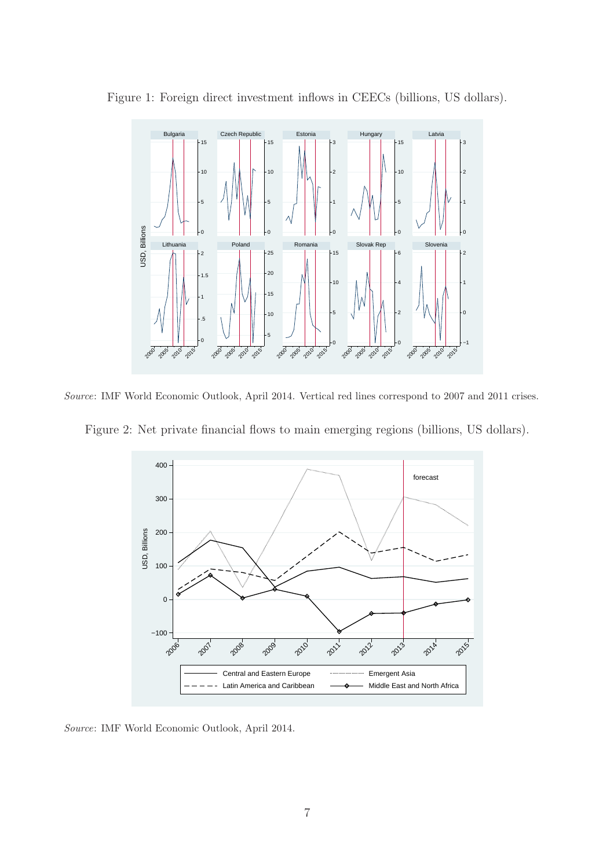<span id="page-8-0"></span>

Figure 1: Foreign direct investment inflows in CEECs (billions, US dollars).

Source: IMF World Economic Outlook, April 2014. Vertical red lines correspond to 2007 and 2011 crises.

Figure 2: Net private financial flows to main emerging regions (billions, US dollars).

<span id="page-8-1"></span>

Source: IMF World Economic Outlook, April 2014.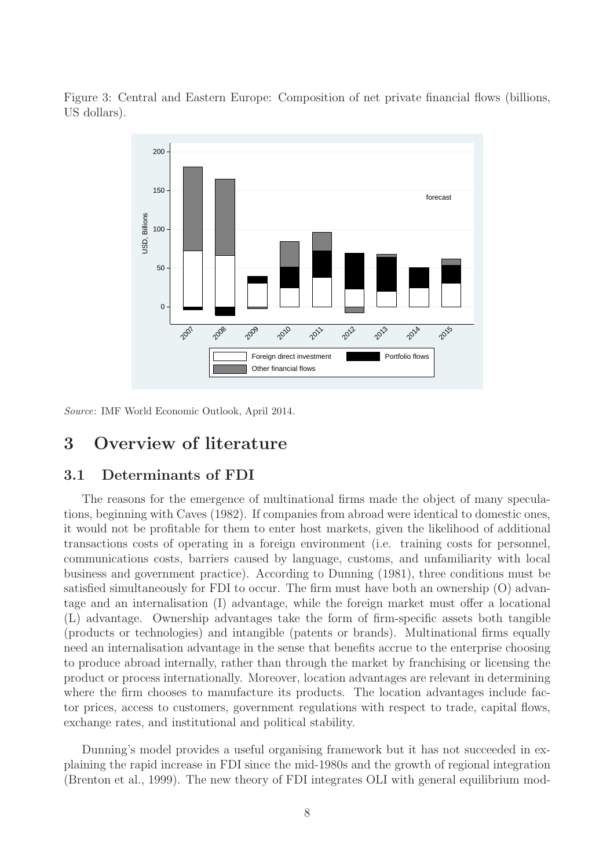Figure 3: Central and Eastern Europe: Composition of net private financial flows (billions, US dollars).

<span id="page-9-0"></span>

Source: IMF World Economic Outlook, April 2014.

## 3 Overview of literature

#### 3.1 Determinants of FDI

The reasons for the emergence of multinational firms made the object of many speculations, beginning with Caves (1982). If companies from abroad were identical to domestic ones, it would not be profitable for them to enter host markets, given the likelihood of additional transactions costs of operating in a foreign environment (i.e. training costs for personnel, communications costs, barriers caused by language, customs, and unfamiliarity with local business and government practice). According to Dunning (1981), three conditions must be satisfied simultaneously for FDI to occur. The firm must have both an ownership (O) advantage and an internalisation (I) advantage, while the foreign market must offer a locational (L) advantage. Ownership advantages take the form of firm-specific assets both tangible (products or technologies) and intangible (patents or brands). Multinational firms equally need an internalisation advantage in the sense that benefits accrue to the enterprise choosing to produce abroad internally, rather than through the market by franchising or licensing the product or process internationally. Moreover, location advantages are relevant in determining where the firm chooses to manufacture its products. The location advantages include factor prices, access to customers, government regulations with respect to trade, capital flows, exchange rates, and institutional and political stability.

Dunning's model provides a useful organising framework but it has not succeeded in explaining the rapid increase in FDI since the mid-1980s and the growth of regional integration (Brenton et al., 1999). The new theory of FDI integrates OLI with general equilibrium mod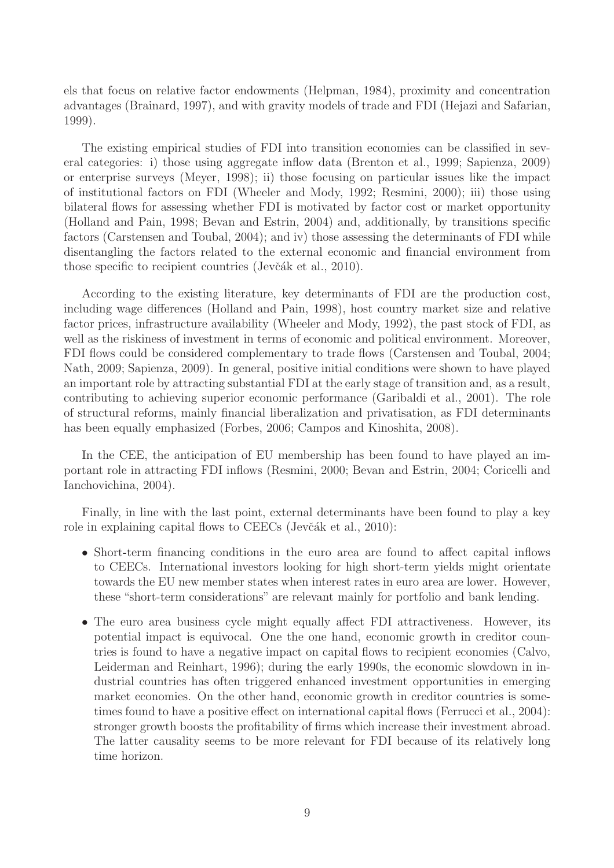els that focus on relative factor endowments (Helpman, 1984), proximity and concentration advantages (Brainard, 1997), and with gravity models of trade and FDI (Hejazi and Safarian, 1999).

The existing empirical studies of FDI into transition economies can be classified in several categories: i) those using aggregate inflow data (Brenton et al., 1999; Sapienza, 2009) or enterprise surveys (Meyer, 1998); ii) those focusing on particular issues like the impact of institutional factors on FDI (Wheeler and Mody, 1992; Resmini, 2000); iii) those using bilateral flows for assessing whether FDI is motivated by factor cost or market opportunity (Holland and Pain, 1998; Bevan and Estrin, 2004) and, additionally, by transitions specific factors (Carstensen and Toubal, 2004); and iv) those assessing the determinants of FDI while disentangling the factors related to the external economic and financial environment from those specific to recipient countries (Jevčák et al., 2010).

According to the existing literature, key determinants of FDI are the production cost, including wage differences (Holland and Pain, 1998), host country market size and relative factor prices, infrastructure availability (Wheeler and Mody, 1992), the past stock of FDI, as well as the riskiness of investment in terms of economic and political environment. Moreover, FDI flows could be considered complementary to trade flows (Carstensen and Toubal, 2004; Nath, 2009; Sapienza, 2009). In general, positive initial conditions were shown to have played an important role by attracting substantial FDI at the early stage of transition and, as a result, contributing to achieving superior economic performance (Garibaldi et al., 2001). The role of structural reforms, mainly financial liberalization and privatisation, as FDI determinants has been equally emphasized (Forbes, 2006; Campos and Kinoshita, 2008).

In the CEE, the anticipation of EU membership has been found to have played an important role in attracting FDI inflows (Resmini, 2000; Bevan and Estrin, 2004; Coricelli and Ianchovichina, 2004).

Finally, in line with the last point, external determinants have been found to play a key role in explaining capital flows to CEECs (Jevčák et al., 2010):

- Short-term financing conditions in the euro area are found to affect capital inflows to CEECs. International investors looking for high short-term yields might orientate towards the EU new member states when interest rates in euro area are lower. However, these "short-term considerations" are relevant mainly for portfolio and bank lending.
- The euro area business cycle might equally affect FDI attractiveness. However, its potential impact is equivocal. One the one hand, economic growth in creditor countries is found to have a negative impact on capital flows to recipient economies (Calvo, Leiderman and Reinhart, 1996); during the early 1990s, the economic slowdown in industrial countries has often triggered enhanced investment opportunities in emerging market economies. On the other hand, economic growth in creditor countries is sometimes found to have a positive effect on international capital flows (Ferrucci et al., 2004): stronger growth boosts the profitability of firms which increase their investment abroad. The latter causality seems to be more relevant for FDI because of its relatively long time horizon.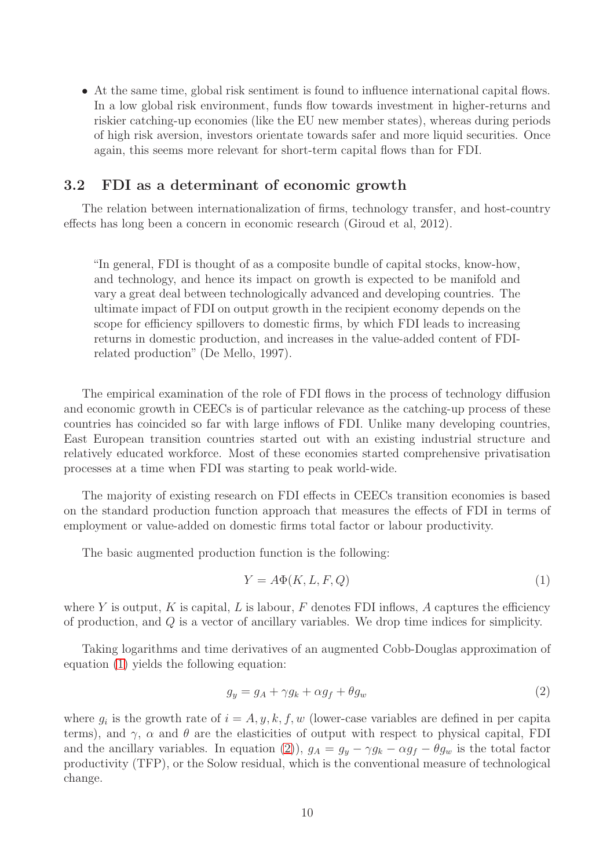• At the same time, global risk sentiment is found to influence international capital flows. In a low global risk environment, funds flow towards investment in higher-returns and riskier catching-up economies (like the EU new member states), whereas during periods of high risk aversion, investors orientate towards safer and more liquid securities. Once again, this seems more relevant for short-term capital flows than for FDI.

#### <span id="page-11-2"></span>3.2 FDI as a determinant of economic growth

The relation between internationalization of firms, technology transfer, and host-country effects has long been a concern in economic research (Giroud et al, 2012).

"In general, FDI is thought of as a composite bundle of capital stocks, know-how, and technology, and hence its impact on growth is expected to be manifold and vary a great deal between technologically advanced and developing countries. The ultimate impact of FDI on output growth in the recipient economy depends on the scope for efficiency spillovers to domestic firms, by which FDI leads to increasing returns in domestic production, and increases in the value-added content of FDIrelated production" (De Mello, 1997).

The empirical examination of the role of FDI flows in the process of technology diffusion and economic growth in CEECs is of particular relevance as the catching-up process of these countries has coincided so far with large inflows of FDI. Unlike many developing countries, East European transition countries started out with an existing industrial structure and relatively educated workforce. Most of these economies started comprehensive privatisation processes at a time when FDI was starting to peak world-wide.

The majority of existing research on FDI effects in CEECs transition economies is based on the standard production function approach that measures the effects of FDI in terms of employment or value-added on domestic firms total factor or labour productivity.

The basic augmented production function is the following:

<span id="page-11-0"></span>
$$
Y = A\Phi(K, L, F, Q) \tag{1}
$$

where  $Y$  is output,  $K$  is capital,  $L$  is labour,  $F$  denotes FDI inflows,  $A$  captures the efficiency of production, and *Q* is a vector of ancillary variables. We drop time indices for simplicity.

Taking logarithms and time derivatives of an augmented Cobb-Douglas approximation of equation [\(1\)](#page-11-0) yields the following equation:

<span id="page-11-1"></span>
$$
g_y = g_A + \gamma g_k + \alpha g_f + \theta g_w \tag{2}
$$

where  $g_i$  is the growth rate of  $i = A, y, k, f, w$  (lower-case variables are defined in per capita terms), and  $\gamma$ ,  $\alpha$  and  $\theta$  are the elasticities of output with respect to physical capital, FDI and the ancillary variables. In equation [\(2\)](#page-11-1)),  $g_A = g_y - \gamma g_k - \alpha g_f - \theta g_w$  is the total factor productivity (TFP), or the Solow residual, which is the conventional measure of technological change.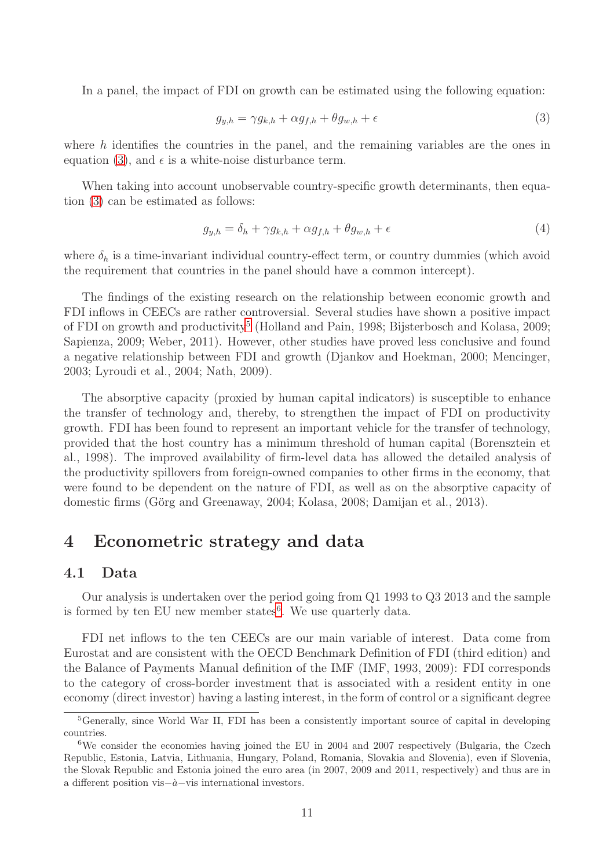In a panel, the impact of FDI on growth can be estimated using the following equation:

<span id="page-12-1"></span>
$$
g_{y,h} = \gamma g_{k,h} + \alpha g_{f,h} + \theta g_{w,h} + \epsilon
$$
\n<sup>(3)</sup>

where *h* identifies the countries in the panel, and the remaining variables are the ones in equation [\(3\)](#page-12-1), and  $\epsilon$  is a white-noise disturbance term.

When taking into account unobservable country-specific growth determinants, then equation [\(3\)](#page-12-1) can be estimated as follows:

$$
g_{y,h} = \delta_h + \gamma g_{k,h} + \alpha g_{f,h} + \theta g_{w,h} + \epsilon \tag{4}
$$

where  $\delta_h$  is a time-invariant individual country-effect term, or country dummies (which avoid the requirement that countries in the panel should have a common intercept).

The findings of the existing research on the relationship between economic growth and FDI inflows in CEECs are rather controversial. Several studies have shown a positive impact of FDI on growth and productivity<sup>5</sup> (Holland and Pain, 1998; Bijsterbosch and Kolasa, 2009; Sapienza, 2009; Weber, 2011). However, other studies have proved less conclusive and found a negative relationship between FDI and growth (Djankov and Hoekman, 2000; Mencinger, 2003; Lyroudi et al., 2004; Nath, 2009).

The absorptive capacity (proxied by human capital indicators) is susceptible to enhance the transfer of technology and, thereby, to strengthen the impact of FDI on productivity growth. FDI has been found to represent an important vehicle for the transfer of technology, provided that the host country has a minimum threshold of human capital (Borensztein et al., 1998). The improved availability of firm-level data has allowed the detailed analysis of the productivity spillovers from foreign-owned companies to other firms in the economy, that were found to be dependent on the nature of FDI, as well as on the absorptive capacity of domestic firms (Görg and Greenaway, 2004; Kolasa, 2008; Damijan et al., 2013).

## 4 Econometric strategy and data

#### <span id="page-12-0"></span>4.1 Data

Our analysis is undertaken over the period going from Q1 1993 to Q3 2013 and the sample is formed by ten EU new member states<sup>6</sup>. We use quarterly data.

FDI net inflows to the ten CEECs are our main variable of interest. Data come from Eurostat and are consistent with the OECD Benchmark Definition of FDI (third edition) and the Balance of Payments Manual definition of the IMF (IMF, 1993, 2009): FDI corresponds to the category of cross-border investment that is associated with a resident entity in one economy (direct investor) having a lasting interest, in the form of control or a significant degree

<sup>&</sup>lt;sup>5</sup>Generally, since World War II, FDI has been a consistently important source of capital in developing countries.

<sup>&</sup>lt;sup>6</sup>We consider the economies having joined the EU in 2004 and 2007 respectively (Bulgaria, the Czech Republic, Estonia, Latvia, Lithuania, Hungary, Poland, Romania, Slovakia and Slovenia), even if Slovenia, the Slovak Republic and Estonia joined the euro area (in 2007, 2009 and 2011, respectively) and thus are in a different position vis−*a*`−vis international investors.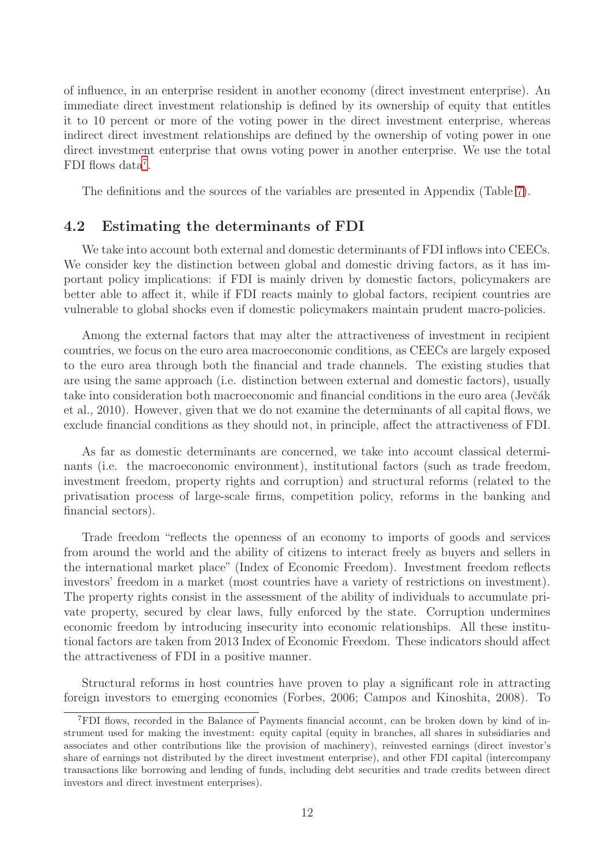of influence, in an enterprise resident in another economy (direct investment enterprise). An immediate direct investment relationship is defined by its ownership of equity that entitles it to 10 percent or more of the voting power in the direct investment enterprise, whereas indirect direct investment relationships are defined by the ownership of voting power in one direct investment enterprise that owns voting power in another enterprise. We use the total FDI flows data<sup>7</sup>.

The definitions and the sources of the variables are presented in Appendix (Table [7\)](#page-29-0).

#### 4.2 Estimating the determinants of FDI

We take into account both external and domestic determinants of FDI inflows into CEECs. We consider key the distinction between global and domestic driving factors, as it has important policy implications: if FDI is mainly driven by domestic factors, policymakers are better able to affect it, while if FDI reacts mainly to global factors, recipient countries are vulnerable to global shocks even if domestic policymakers maintain prudent macro-policies.

Among the external factors that may alter the attractiveness of investment in recipient countries, we focus on the euro area macroeconomic conditions, as CEECs are largely exposed to the euro area through both the financial and trade channels. The existing studies that are using the same approach (i.e. distinction between external and domestic factors), usually take into consideration both macroeconomic and financial conditions in the euro area (Jevčák et al., 2010). However, given that we do not examine the determinants of all capital flows, we exclude financial conditions as they should not, in principle, affect the attractiveness of FDI.

As far as domestic determinants are concerned, we take into account classical determinants (i.e. the macroeconomic environment), institutional factors (such as trade freedom, investment freedom, property rights and corruption) and structural reforms (related to the privatisation process of large-scale firms, competition policy, reforms in the banking and financial sectors).

Trade freedom "reflects the openness of an economy to imports of goods and services from around the world and the ability of citizens to interact freely as buyers and sellers in the international market place" (Index of Economic Freedom). Investment freedom reflects investors' freedom in a market (most countries have a variety of restrictions on investment). The property rights consist in the assessment of the ability of individuals to accumulate private property, secured by clear laws, fully enforced by the state. Corruption undermines economic freedom by introducing insecurity into economic relationships. All these institutional factors are taken from 2013 Index of Economic Freedom. These indicators should affect the attractiveness of FDI in a positive manner.

Structural reforms in host countries have proven to play a significant role in attracting foreign investors to emerging economies (Forbes, 2006; Campos and Kinoshita, 2008). To

<sup>7</sup>FDI flows, recorded in the Balance of Payments financial account, can be broken down by kind of instrument used for making the investment: equity capital (equity in branches, all shares in subsidiaries and associates and other contributions like the provision of machinery), reinvested earnings (direct investor's share of earnings not distributed by the direct investment enterprise), and other FDI capital (intercompany transactions like borrowing and lending of funds, including debt securities and trade credits between direct investors and direct investment enterprises).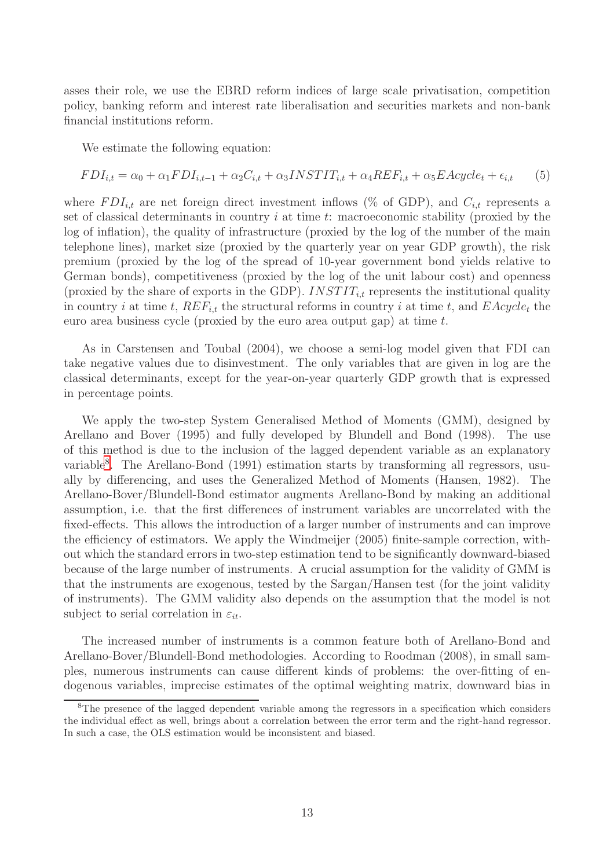asses their role, we use the EBRD reform indices of large scale privatisation, competition policy, banking reform and interest rate liberalisation and securities markets and non-bank financial institutions reform.

We estimate the following equation:

<span id="page-14-0"></span>
$$
FDI_{i,t} = \alpha_0 + \alpha_1 FDI_{i,t-1} + \alpha_2 C_{i,t} + \alpha_3 INSTIT_{i,t} + \alpha_4 REF_{i,t} + \alpha_5 EAcycle_t + \epsilon_{i,t}
$$
 (5)

where  $FDI_{i,t}$  are net foreign direct investment inflows (% of GDP), and  $C_{i,t}$  represents a set of classical determinants in country *i* at time *t*: macroeconomic stability (proxied by the log of inflation), the quality of infrastructure (proxied by the log of the number of the main telephone lines), market size (proxied by the quarterly year on year GDP growth), the risk premium (proxied by the log of the spread of 10-year government bond yields relative to German bonds), competitiveness (proxied by the log of the unit labour cost) and openness (proxied by the share of exports in the GDP). *INSTIT<sub>it</sub>* represents the institutional quality in country *i* at time *t*,  $REF_{i,t}$  the structural reforms in country *i* at time *t*, and  $EAcycle_t$  the euro area business cycle (proxied by the euro area output gap) at time *t*.

As in Carstensen and Toubal (2004), we choose a semi-log model given that FDI can take negative values due to disinvestment. The only variables that are given in log are the classical determinants, except for the year-on-year quarterly GDP growth that is expressed in percentage points.

We apply the two-step System Generalised Method of Moments (GMM), designed by Arellano and Bover (1995) and fully developed by Blundell and Bond (1998). The use of this method is due to the inclusion of the lagged dependent variable as an explanatory variable<sup>8</sup>. The Arellano-Bond (1991) estimation starts by transforming all regressors, usually by differencing, and uses the Generalized Method of Moments (Hansen, 1982). The Arellano-Bover/Blundell-Bond estimator augments Arellano-Bond by making an additional assumption, i.e. that the first differences of instrument variables are uncorrelated with the fixed-effects. This allows the introduction of a larger number of instruments and can improve the efficiency of estimators. We apply the Windmeijer (2005) finite-sample correction, without which the standard errors in two-step estimation tend to be significantly downward-biased because of the large number of instruments. A crucial assumption for the validity of GMM is that the instruments are exogenous, tested by the Sargan/Hansen test (for the joint validity of instruments). The GMM validity also depends on the assumption that the model is not subject to serial correlation in  $\varepsilon_{it}$ .

The increased number of instruments is a common feature both of Arellano-Bond and Arellano-Bover/Blundell-Bond methodologies. According to Roodman (2008), in small samples, numerous instruments can cause different kinds of problems: the over-fitting of endogenous variables, imprecise estimates of the optimal weighting matrix, downward bias in

<sup>8</sup>The presence of the lagged dependent variable among the regressors in a specification which considers the individual effect as well, brings about a correlation between the error term and the right-hand regressor. In such a case, the OLS estimation would be inconsistent and biased.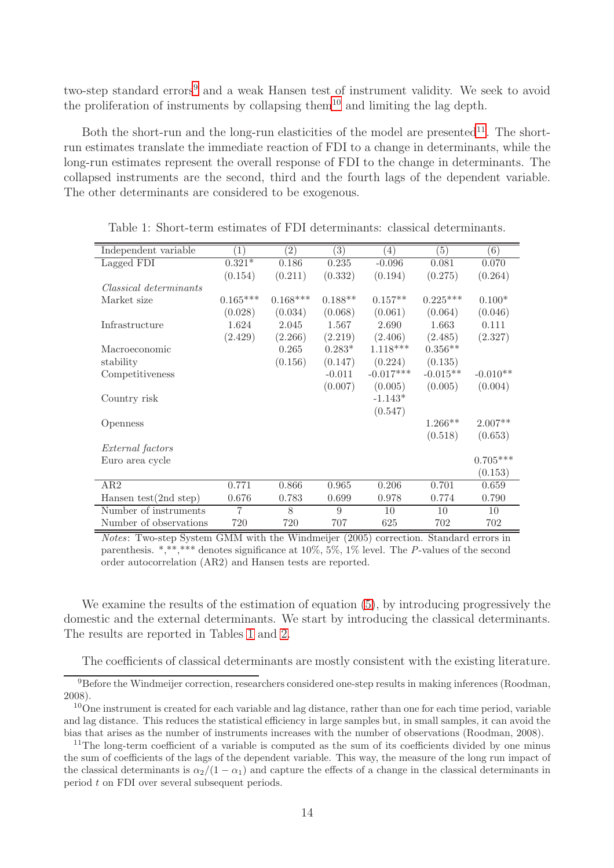two-step standard errors<sup>9</sup> and a weak Hansen test of instrument validity. We seek to avoid the proliferation of instruments by collapsing them<sup>10</sup> and limiting the lag depth.

Both the short-run and the long-run elasticities of the model are presented<sup>11</sup>. The shortrun estimates translate the immediate reaction of FDI to a change in determinants, while the long-run estimates represent the overall response of FDI to the change in determinants. The collapsed instruments are the second, third and the fourth lags of the dependent variable. The other determinants are considered to be exogenous.

| Independent variable     | $\left(1\right)$ | $\left( 2\right)$ | (3)       | (4)         | $\left(5\right)$ | (6)        |
|--------------------------|------------------|-------------------|-----------|-------------|------------------|------------|
| Lagged FDI               | $0.321*$         | 0.186             | 0.235     | $-0.096$    | 0.081            | 0.070      |
|                          | (0.154)          | (0.211)           | (0.332)   | (0.194)     | (0.275)          | (0.264)    |
| Classical determinants   |                  |                   |           |             |                  |            |
| Market size              | $0.165***$       | $0.168***$        | $0.188**$ | $0.157**$   | $0.225***$       | $0.100*$   |
|                          | (0.028)          | (0.034)           | (0.068)   | (0.061)     | (0.064)          | (0.046)    |
| Infrastructure           | 1.624            | 2.045             | 1.567     | 2.690       | 1.663            | 0.111      |
|                          | (2.429)          | (2.266)           | (2.219)   | (2.406)     | (2.485)          | (2.327)    |
| Macroeconomic            |                  | 0.265             | $0.283*$  | $1.118***$  | $0.356**$        |            |
| stability                |                  | (0.156)           | (0.147)   | (0.224)     | (0.135)          |            |
| Competitiveness          |                  |                   | $-0.011$  | $-0.017***$ | $-0.015**$       | $-0.010**$ |
|                          |                  |                   | (0.007)   | (0.005)     | (0.005)          | (0.004)    |
| Country risk             |                  |                   |           | $-1.143*$   |                  |            |
|                          |                  |                   |           | (0.547)     |                  |            |
| <i>Openness</i>          |                  |                   |           |             | $1.266**$        | $2.007**$  |
|                          |                  |                   |           |             | (0.518)          | (0.653)    |
| External factors         |                  |                   |           |             |                  |            |
| Euro area cycle          |                  |                   |           |             |                  | $0.705***$ |
|                          |                  |                   |           |             |                  | (0.153)    |
| AR2                      | 0.771            | 0.866             | 0.965     | 0.206       | 0.701            | 0.659      |
| Hansen test $(2nd step)$ | 0.676            | 0.783             | 0.699     | 0.978       | 0.774            | 0.790      |
| Number of instruments    | $\overline{7}$   | 8                 | 9         | 10          | 10               | 10         |
| Number of observations   | 720              | 720               | 707       | 625         | 702              | 702        |

<span id="page-15-0"></span>Table 1: Short-term estimates of FDI determinants: classical determinants.

Notes: Two-step System GMM with the Windmeijer (2005) correction. Standard errors in parenthesis. \*,\*\*,\*\*\* denotes significance at 10%, 5%, 1% level. The P-values of the second order autocorrelation (AR2) and Hansen tests are reported.

We examine the results of the estimation of equation [\(5\)](#page-14-0), by introducing progressively the domestic and the external determinants. We start by introducing the classical determinants. The results are reported in Tables [1](#page-15-0) and [2.](#page-16-0)

The coefficients of classical determinants are mostly consistent with the existing literature.

<sup>9</sup>Before the Windmeijer correction, researchers considered one-step results in making inferences (Roodman, 2008).

<sup>&</sup>lt;sup>10</sup>One instrument is created for each variable and lag distance, rather than one for each time period, variable and lag distance. This reduces the statistical efficiency in large samples but, in small samples, it can avoid the bias that arises as the number of instruments increases with the number of observations (Roodman, 2008).

<sup>&</sup>lt;sup>11</sup>The long-term coefficient of a variable is computed as the sum of its coefficients divided by one minus the sum of coefficients of the lags of the dependent variable. This way, the measure of the long run impact of the classical determinants is  $\alpha_2/(1 - \alpha_1)$  and capture the effects of a change in the classical determinants in period *t* on FDI over several subsequent periods.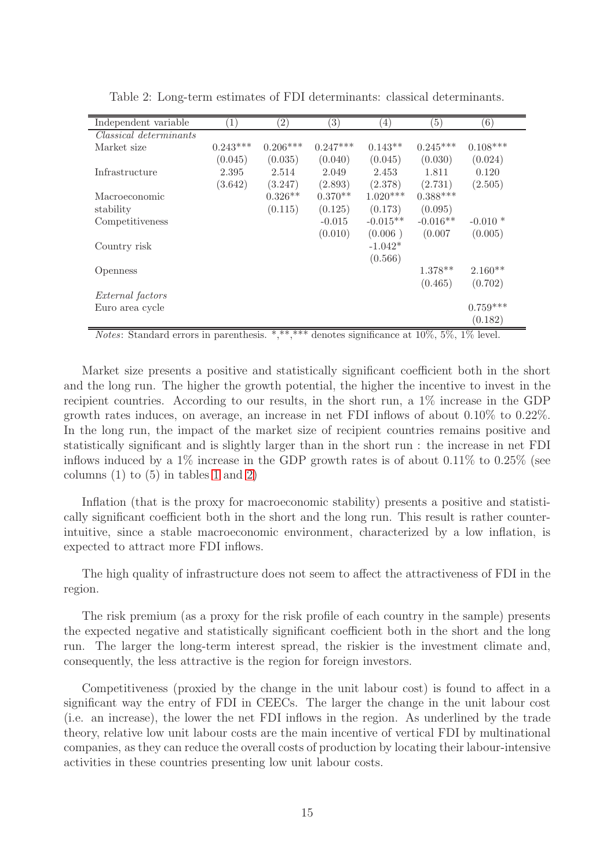| Independent variable    | $\left( 1\right)$ | $\left( 2\right)$ | $\left(3\right)$ | (4)        | (5)        | (6)        |
|-------------------------|-------------------|-------------------|------------------|------------|------------|------------|
| Classical determinants  |                   |                   |                  |            |            |            |
| Market size             | $0.243***$        | $0.206***$        | $0.247***$       | $0.143**$  | $0.245***$ | $0.108***$ |
|                         | (0.045)           | (0.035)           | (0.040)          | (0.045)    | (0.030)    | (0.024)    |
| Infrastructure          | 2.395             | 2.514             | 2.049            | 2.453      | 1.811      | 0.120      |
|                         | (3.642)           | (3.247)           | (2.893)          | (2.378)    | (2.731)    | (2.505)    |
| Macroeconomic           |                   | $0.326**$         | $0.370**$        | $1.020***$ | $0.388***$ |            |
| stability               |                   | (0.115)           | (0.125)          | (0.173)    | (0.095)    |            |
| Competitiveness         |                   |                   | $-0.015$         | $-0.015**$ | $-0.016**$ | $-0.010*$  |
|                         |                   |                   | (0.010)          | (0.006)    | (0.007)    | (0.005)    |
| Country risk            |                   |                   |                  | $-1.042*$  |            |            |
|                         |                   |                   |                  | (0.566)    |            |            |
| Openness                |                   |                   |                  |            | $1.378**$  | $2.160**$  |
|                         |                   |                   |                  |            | (0.465)    | (0.702)    |
| <i>External factors</i> |                   |                   |                  |            |            |            |
| Euro area cycle         |                   |                   |                  |            |            | $0.759***$ |
|                         |                   |                   |                  |            |            | (0.182)    |

<span id="page-16-0"></span>Table 2: Long-term estimates of FDI determinants: classical determinants.

Notes: Standard errors in parenthesis. \*,\*\*,\*\*\* denotes significance at  $10\%, 5\%, 1\%$  level.

Market size presents a positive and statistically significant coefficient both in the short and the long run. The higher the growth potential, the higher the incentive to invest in the recipient countries. According to our results, in the short run, a 1% increase in the GDP growth rates induces, on average, an increase in net FDI inflows of about 0.10% to 0.22%. In the long run, the impact of the market size of recipient countries remains positive and statistically significant and is slightly larger than in the short run : the increase in net FDI inflows induced by a  $1\%$  increase in the GDP growth rates is of about 0.11% to 0.25% (see columns  $(1)$  to  $(5)$  in tables [1](#page-15-0) and [2\)](#page-16-0)

Inflation (that is the proxy for macroeconomic stability) presents a positive and statistically significant coefficient both in the short and the long run. This result is rather counterintuitive, since a stable macroeconomic environment, characterized by a low inflation, is expected to attract more FDI inflows.

The high quality of infrastructure does not seem to affect the attractiveness of FDI in the region.

The risk premium (as a proxy for the risk profile of each country in the sample) presents the expected negative and statistically significant coefficient both in the short and the long run. The larger the long-term interest spread, the riskier is the investment climate and, consequently, the less attractive is the region for foreign investors.

Competitiveness (proxied by the change in the unit labour cost) is found to affect in a significant way the entry of FDI in CEECs. The larger the change in the unit labour cost (i.e. an increase), the lower the net FDI inflows in the region. As underlined by the trade theory, relative low unit labour costs are the main incentive of vertical FDI by multinational companies, as they can reduce the overall costs of production by locating their labour-intensive activities in these countries presenting low unit labour costs.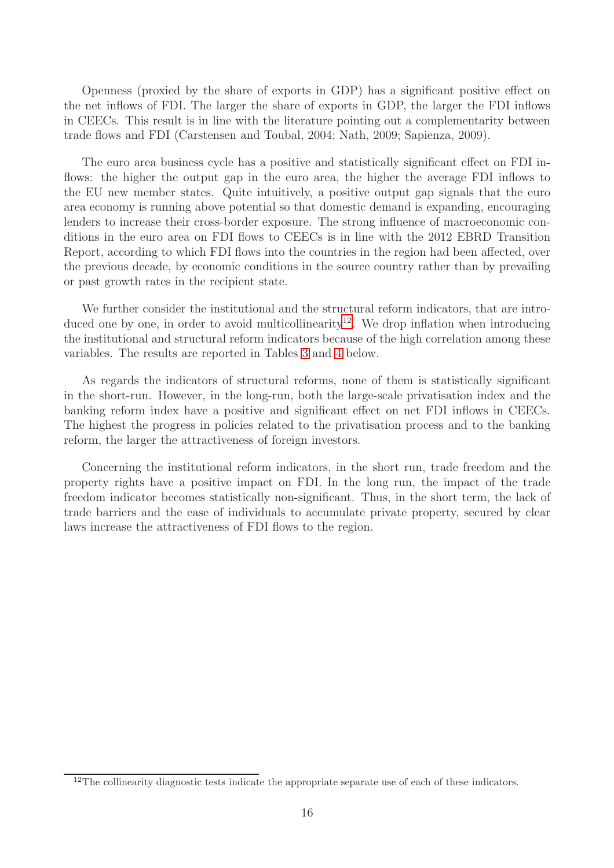Openness (proxied by the share of exports in GDP) has a significant positive effect on the net inflows of FDI. The larger the share of exports in GDP, the larger the FDI inflows in CEECs. This result is in line with the literature pointing out a complementarity between trade flows and FDI (Carstensen and Toubal, 2004; Nath, 2009; Sapienza, 2009).

The euro area business cycle has a positive and statistically significant effect on FDI inflows: the higher the output gap in the euro area, the higher the average FDI inflows to the EU new member states. Quite intuitively, a positive output gap signals that the euro area economy is running above potential so that domestic demand is expanding, encouraging lenders to increase their cross-border exposure. The strong influence of macroeconomic conditions in the euro area on FDI flows to CEECs is in line with the 2012 EBRD Transition Report, according to which FDI flows into the countries in the region had been affected, over the previous decade, by economic conditions in the source country rather than by prevailing or past growth rates in the recipient state.

We further consider the institutional and the structural reform indicators, that are introduced one by one, in order to avoid multicollinearity<sup>12</sup>. We drop inflation when introducing the institutional and structural reform indicators because of the high correlation among these variables. The results are reported in Tables [3](#page-18-0) and [4](#page-19-0) below.

As regards the indicators of structural reforms, none of them is statistically significant in the short-run. However, in the long-run, both the large-scale privatisation index and the banking reform index have a positive and significant effect on net FDI inflows in CEECs. The highest the progress in policies related to the privatisation process and to the banking reform, the larger the attractiveness of foreign investors.

Concerning the institutional reform indicators, in the short run, trade freedom and the property rights have a positive impact on FDI. In the long run, the impact of the trade freedom indicator becomes statistically non-significant. Thus, in the short term, the lack of trade barriers and the ease of individuals to accumulate private property, secured by clear laws increase the attractiveness of FDI flows to the region.

<sup>&</sup>lt;sup>12</sup>The collinearity diagnostic tests indicate the appropriate separate use of each of these indicators.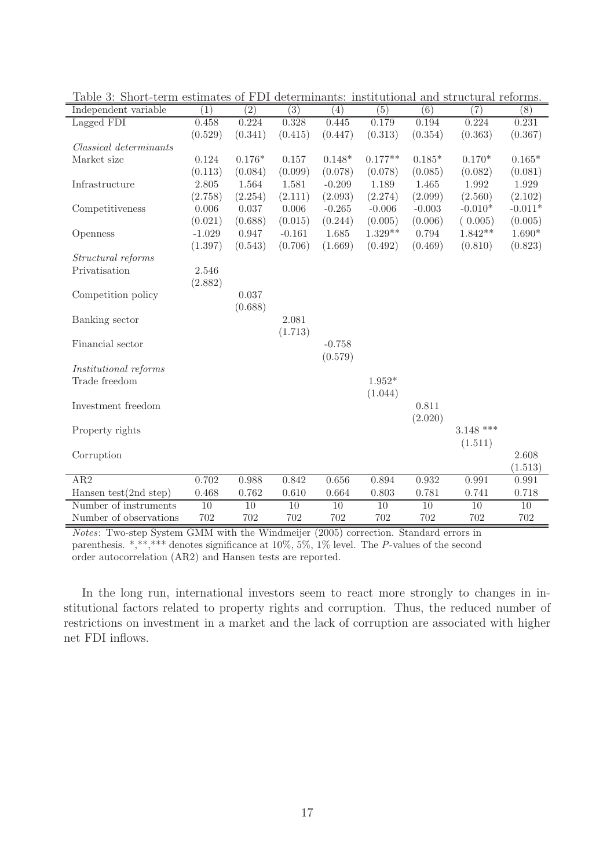<span id="page-18-0"></span>

| Independent variable             | (1)       | $\left( 2\right)$ | (3)             | $\left( 4\right)$ | (5)       | (6)      | (7)             | (8)             |
|----------------------------------|-----------|-------------------|-----------------|-------------------|-----------|----------|-----------------|-----------------|
| Lagged FDI                       | 0.458     | 0.224             | 0.328           | 0.445             | 0.179     | 0.194    | 0.224           | 0.231           |
|                                  | (0.529)   | (0.341)           | (0.415)         | (0.447)           | (0.313)   | (0.354)  | (0.363)         | (0.367)         |
| Classical determinants           |           |                   |                 |                   |           |          |                 |                 |
| Market size                      | 0.124     | $0.176*$          | 0.157           | $0.148*$          | $0.177**$ | $0.185*$ | $0.170*$        | $0.165*$        |
|                                  | (0.113)   | (0.084)           | (0.099)         | (0.078)           | (0.078)   | (0.085)  | (0.082)         | (0.081)         |
| Infrastructure                   | 2.805     | 1.564             | 1.581           | $-0.209$          | 1.189     | 1.465    | 1.992           | 1.929           |
|                                  | (2.758)   | (2.254)           | (2.111)         | (2.093)           | (2.274)   | (2.099)  | (2.560)         | (2.102)         |
| Competitiveness                  | $0.006\,$ | 0.037             | 0.006           | $-0.265$          | $-0.006$  | $-0.003$ | $-0.010*$       | $-0.011*$       |
|                                  | (0.021)   | (0.688)           | (0.015)         | (0.244)           | (0.005)   | (0.006)  | (0.005)         | (0.005)         |
| Openness                         | $-1.029$  | 0.947             | $-0.161$        | 1.685             | $1.329**$ | 0.794    | $1.842**$       | $1.690*$        |
|                                  | (1.397)   | (0.543)           | (0.706)         | (1.669)           | (0.492)   | (0.469)  | (0.810)         | (0.823)         |
| Structural reforms               |           |                   |                 |                   |           |          |                 |                 |
| Privatisation                    | 2.546     |                   |                 |                   |           |          |                 |                 |
|                                  | (2.882)   |                   |                 |                   |           |          |                 |                 |
| Competition policy               |           | 0.037             |                 |                   |           |          |                 |                 |
|                                  |           | (0.688)           |                 |                   |           |          |                 |                 |
| Banking sector                   |           |                   | 2.081           |                   |           |          |                 |                 |
|                                  |           |                   | (1.713)         |                   |           |          |                 |                 |
| Financial sector                 |           |                   |                 | $-0.758$          |           |          |                 |                 |
|                                  |           |                   |                 | (0.579)           |           |          |                 |                 |
| Institutional reforms            |           |                   |                 |                   |           |          |                 |                 |
| Trade freedom                    |           |                   |                 |                   | $1.952*$  |          |                 |                 |
|                                  |           |                   |                 |                   | (1.044)   |          |                 |                 |
| Investment freedom               |           |                   |                 |                   |           | 0.811    |                 |                 |
|                                  |           |                   |                 |                   |           | (2.020)  |                 |                 |
| Property rights                  |           |                   |                 |                   |           |          | $3.148$ ***     |                 |
|                                  |           |                   |                 |                   |           |          | (1.511)         |                 |
| Corruption                       |           |                   |                 |                   |           |          |                 | 2.608           |
|                                  |           |                   |                 |                   |           |          |                 | (1.513)         |
| AR2                              | 0.702     | 0.988             | 0.842           | 0.656             | 0.894     | 0.932    | 0.991           | 0.991           |
| Hansen test $(2nd \text{ step})$ | 0.468     | 0.762             | 0.610           | 0.664             | 0.803     | 0.781    | 0.741           | 0.718           |
| Number of instruments            | 10        | $\overline{10}$   | $\overline{10}$ | 10                | 10        | 10       | $\overline{10}$ | $\overline{10}$ |
| Number of observations           | 702       | 702               | 702             | 702               | 702       | 702      | 702             | 702             |

Table 3: Short-term estimates of FDI determinants: institutional and structural reforms.

Notes: Two-step System GMM with the Windmeijer (2005) correction. Standard errors in parenthesis. \*,\*\*,\*\*\* denotes significance at  $10\%, 5\%, 1\%$  level. The P-values of the second order autocorrelation (AR2) and Hansen tests are reported.

In the long run, international investors seem to react more strongly to changes in institutional factors related to property rights and corruption. Thus, the reduced number of restrictions on investment in a market and the lack of corruption are associated with higher net FDI inflows.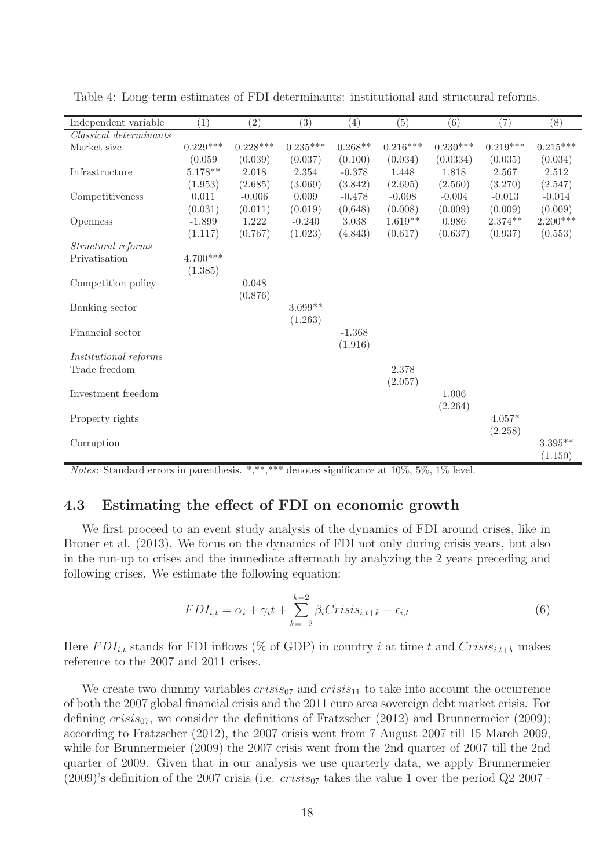| Independent variable   | $\overline{(1)}$ | $\overline{(2)}$ | $\overline{(3)}$ | $\overline{(4)}$ | $\overline{(5)}$ | $\overline{(6)}$ | $\overline{(7)}$ | $\overline{(8)}$ |
|------------------------|------------------|------------------|------------------|------------------|------------------|------------------|------------------|------------------|
| Classical determinants |                  |                  |                  |                  |                  |                  |                  |                  |
| Market size            | $0.229***$       | $0.228***$       | $0.235***$       | $0.268**$        | $0.216***$       | $0.230***$       | $0.219***$       | $0.215***$       |
|                        | (0.059)          | (0.039)          | (0.037)          | (0.100)          | (0.034)          | (0.0334)         | (0.035)          | (0.034)          |
| Infrastructure         | $5.178**$        | 2.018            | 2.354            | $-0.378$         | 1.448            | 1.818            | 2.567            | 2.512            |
|                        | (1.953)          | (2.685)          | (3.069)          | (3.842)          | (2.695)          | (2.560)          | (3.270)          | (2.547)          |
| Competitiveness        | 0.011            | $-0.006$         | 0.009            | $-0.478$         | $-0.008$         | $-0.004$         | $-0.013$         | $-0.014$         |
|                        | (0.031)          | (0.011)          | (0.019)          | (0,648)          | (0.008)          | (0.009)          | (0.009)          | (0.009)          |
| <i>Openness</i>        | $-1.899$         | 1.222            | $-0.240$         | 3.038            | $1.619**$        | 0.986            | $2.374**$        | $2.200***$       |
|                        | (1.117)          | (0.767)          | (1.023)          | (4.843)          | (0.617)          | (0.637)          | (0.937)          | (0.553)          |
| Structural reforms     |                  |                  |                  |                  |                  |                  |                  |                  |
| Privatisation          | $4.700***$       |                  |                  |                  |                  |                  |                  |                  |
|                        | (1.385)          |                  |                  |                  |                  |                  |                  |                  |
| Competition policy     |                  | 0.048            |                  |                  |                  |                  |                  |                  |
|                        |                  | (0.876)          |                  |                  |                  |                  |                  |                  |
| Banking sector         |                  |                  | $3.099**$        |                  |                  |                  |                  |                  |
|                        |                  |                  | (1.263)          |                  |                  |                  |                  |                  |
| Financial sector       |                  |                  |                  | $-1.368$         |                  |                  |                  |                  |
|                        |                  |                  |                  | (1.916)          |                  |                  |                  |                  |
| Institutional reforms  |                  |                  |                  |                  |                  |                  |                  |                  |
| Trade freedom          |                  |                  |                  |                  | 2.378            |                  |                  |                  |
|                        |                  |                  |                  |                  | (2.057)          |                  |                  |                  |
| Investment freedom     |                  |                  |                  |                  |                  | 1.006            |                  |                  |
|                        |                  |                  |                  |                  |                  | (2.264)          |                  |                  |
| Property rights        |                  |                  |                  |                  |                  |                  | $4.057*$         |                  |
|                        |                  |                  |                  |                  |                  |                  | (2.258)          |                  |
| Corruption             |                  |                  |                  |                  |                  |                  |                  | $3.395**$        |
|                        |                  |                  |                  |                  |                  |                  |                  | (1.150)          |

<span id="page-19-0"></span>Table 4: Long-term estimates of FDI determinants: institutional and structural reforms.

Notes: Standard errors in parenthesis. \*,\*\*,\*\*\* denotes significance at  $10\%, 5\%, 1\%$  level.

#### 4.3 Estimating the effect of FDI on economic growth

We first proceed to an event study analysis of the dynamics of FDI around crises, like in Broner et al. (2013). We focus on the dynamics of FDI not only during crisis years, but also in the run-up to crises and the immediate aftermath by analyzing the 2 years preceding and following crises. We estimate the following equation:

$$
FDI_{i,t} = \alpha_i + \gamma_i t + \sum_{k=-2}^{k=2} \beta_i Crisis_{i,t+k} + \epsilon_{i,t}
$$
\n
$$
(6)
$$

Here  $FDI_{i,t}$  stands for FDI inflows (% of GDP) in country *i* at time *t* and  $Crisis_{i,t+k}$  makes reference to the 2007 and 2011 crises.

We create two dummy variables  $crisis_{07}$  and  $crisis_{11}$  to take into account the occurrence of both the 2007 global financial crisis and the 2011 euro area sovereign debt market crisis. For defining *crisis*<sub>07</sub>, we consider the definitions of Fratzscher (2012) and Brunnermeier (2009); according to Fratzscher (2012), the 2007 crisis went from 7 August 2007 till 15 March 2009, while for Brunnermeier (2009) the 2007 crisis went from the 2nd quarter of 2007 till the 2nd quarter of 2009. Given that in our analysis we use quarterly data, we apply Brunnermeier  $(2009)$ 's definition of the 2007 crisis (i.e. *crisis*<sub>07</sub> takes the value 1 over the period Q2 2007 -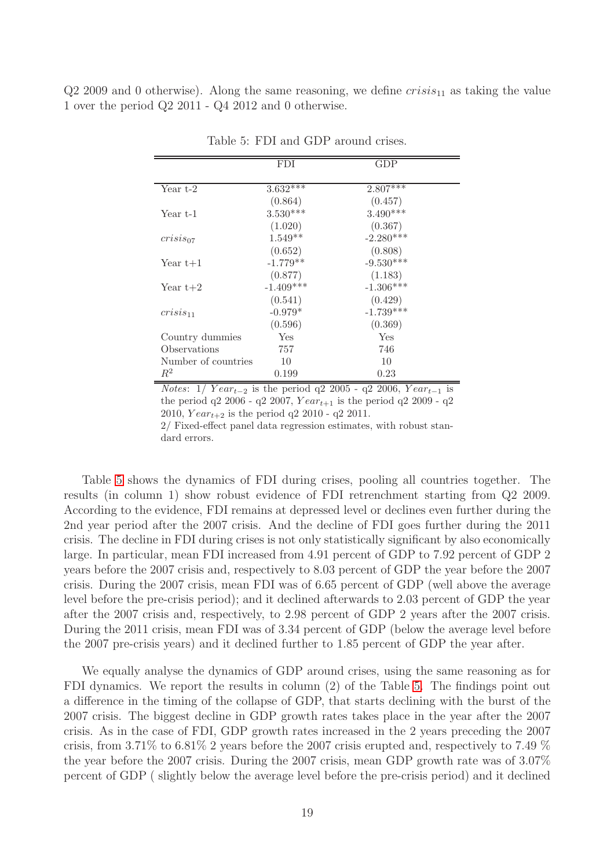$Q2$  2009 and 0 otherwise). Along the same reasoning, we define  $crisis_{11}$  as taking the value 1 over the period Q2 2011 - Q4 2012 and 0 otherwise.

|                      | <b>FDI</b>  | GDP         |
|----------------------|-------------|-------------|
|                      |             |             |
| Year $t-2$           | $3.632***$  | $2.807***$  |
|                      | (0.864)     | (0.457)     |
| Year t-1             | $3.530***$  | $3.490***$  |
|                      | (1.020)     | (0.367)     |
| crisis <sub>07</sub> | $1.549**$   | $-2.280***$ |
|                      | (0.652)     | (0.808)     |
| Year $t+1$           | $-1.779**$  | $-9.530***$ |
|                      | (0.877)     | (1.183)     |
| Year $t+2$           | $-1.409***$ | $-1.306***$ |
|                      | (0.541)     | (0.429)     |
| $crisis_{11}$        | $-0.979*$   | $-1.739***$ |
|                      | (0.596)     | (0.369)     |
| Country dummies      | Yes         | Yes         |
| Observations         | 757         | 746         |
| Number of countries  | 10          | 10          |
| $R^2$                | 0.199       | 0.23        |

<span id="page-20-0"></span>Table 5: FDI and GDP around crises.

*Notes*:  $1 / Year_{t-2}$  is the period q2 2005 - q2 2006,  $Year_{t-1}$  is the period q2 2006 - q2 2007,  $Year_{t+1}$  is the period q2 2009 - q2 2010,  $Year_{t+2}$  is the period q2 2010 - q2 2011. 2/ Fixed-effect panel data regression estimates, with robust stan-

dard errors.

Table [5](#page-20-0) shows the dynamics of FDI during crises, pooling all countries together. The results (in column 1) show robust evidence of FDI retrenchment starting from Q2 2009. According to the evidence, FDI remains at depressed level or declines even further during the 2nd year period after the 2007 crisis. And the decline of FDI goes further during the 2011 crisis. The decline in FDI during crises is not only statistically significant by also economically large. In particular, mean FDI increased from 4.91 percent of GDP to 7.92 percent of GDP 2 years before the 2007 crisis and, respectively to 8.03 percent of GDP the year before the 2007 crisis. During the 2007 crisis, mean FDI was of 6.65 percent of GDP (well above the average level before the pre-crisis period); and it declined afterwards to 2.03 percent of GDP the year after the 2007 crisis and, respectively, to 2.98 percent of GDP 2 years after the 2007 crisis. During the 2011 crisis, mean FDI was of 3.34 percent of GDP (below the average level before the 2007 pre-crisis years) and it declined further to 1.85 percent of GDP the year after.

We equally analyse the dynamics of GDP around crises, using the same reasoning as for FDI dynamics. We report the results in column (2) of the Table [5.](#page-20-0) The findings point out a difference in the timing of the collapse of GDP, that starts declining with the burst of the 2007 crisis. The biggest decline in GDP growth rates takes place in the year after the 2007 crisis. As in the case of FDI, GDP growth rates increased in the 2 years preceding the 2007 crisis, from 3.71% to  $6.81\%$  2 years before the 2007 crisis erupted and, respectively to 7.49 % the year before the 2007 crisis. During the 2007 crisis, mean GDP growth rate was of 3.07% percent of GDP ( slightly below the average level before the pre-crisis period) and it declined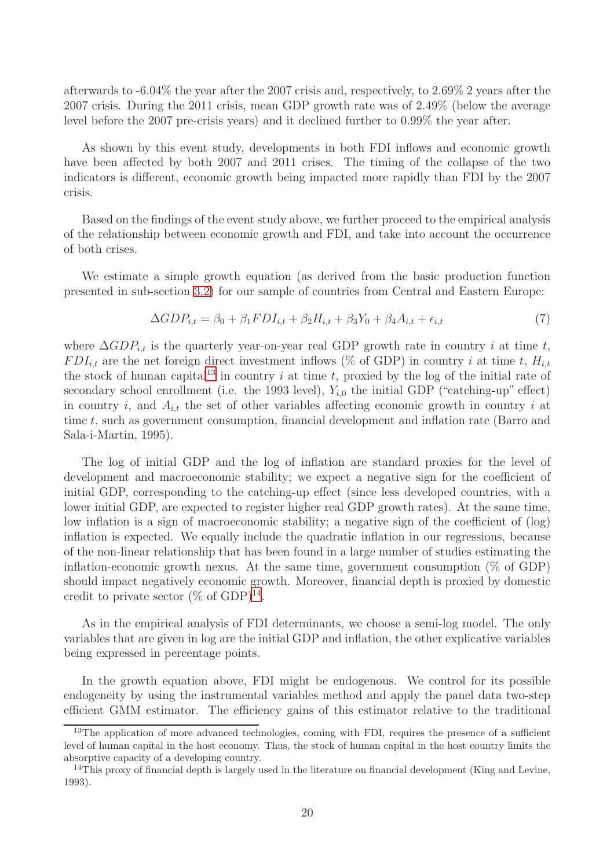afterwards to -6.04% the year after the 2007 crisis and, respectively, to 2.69% 2 years after the 2007 crisis. During the 2011 crisis, mean GDP growth rate was of 2.49% (below the average level before the 2007 pre-crisis years) and it declined further to 0.99% the year after.

As shown by this event study, developments in both FDI inflows and economic growth have been affected by both 2007 and 2011 crises. The timing of the collapse of the two indicators is different, economic growth being impacted more rapidly than FDI by the 2007 crisis.

Based on the findings of the event study above, we further proceed to the empirical analysis of the relationship between economic growth and FDI, and take into account the occurrence of both crises.

We estimate a simple growth equation (as derived from the basic production function presented in sub-section [3.2\)](#page-11-2) for our sample of countries from Central and Eastern Europe:

<span id="page-21-0"></span>
$$
\Delta GDP_{i,t} = \beta_0 + \beta_1 FDI_{i,t} + \beta_2 H_{i,t} + \beta_3 Y_0 + \beta_4 A_{i,t} + \epsilon_{i,t}
$$
\n(7)

where  $\Delta GDP_{i,t}$  is the quarterly year-on-year real GDP growth rate in country *i* at time *t*, *FDI*<sub>*i*,t</sub> are the net foreign direct investment inflows (% of GDP) in country *i* at time *t*,  $H_{i,t}$ the stock of human capital<sup>13</sup> in country  $i$  at time  $t$ , proxied by the log of the initial rate of secondary school enrollment (i.e. the 1993 level),  $Y_{i,0}$  the initial GDP ("catching-up" effect) in country *i*, and *Ai,t* the set of other variables affecting economic growth in country *i* at time *t*, such as government consumption, financial development and inflation rate (Barro and Sala-i-Martin, 1995).

The log of initial GDP and the log of inflation are standard proxies for the level of development and macroeconomic stability; we expect a negative sign for the coefficient of initial GDP, corresponding to the catching-up effect (since less developed countries, with a lower initial GDP, are expected to register higher real GDP growth rates). At the same time, low inflation is a sign of macroeconomic stability; a negative sign of the coefficient of (log) inflation is expected. We equally include the quadratic inflation in our regressions, because of the non-linear relationship that has been found in a large number of studies estimating the inflation-economic growth nexus. At the same time, government consumption  $(\%$  of GDP) should impact negatively economic growth. Moreover, financial depth is proxied by domestic credit to private sector  $(\%$  of GDP)<sup>14</sup>.

As in the empirical analysis of FDI determinants, we choose a semi-log model. The only variables that are given in log are the initial GDP and inflation, the other explicative variables being expressed in percentage points.

In the growth equation above, FDI might be endogenous. We control for its possible endogeneity by using the instrumental variables method and apply the panel data two-step efficient GMM estimator. The efficiency gains of this estimator relative to the traditional

<sup>&</sup>lt;sup>13</sup>The application of more advanced technologies, coming with FDI, requires the presence of a sufficient level of human capital in the host economy. Thus, the stock of human capital in the host country limits the absorptive capacity of a developing country.

<sup>&</sup>lt;sup>14</sup>This proxy of financial depth is largely used in the literature on financial development (King and Levine, 1993).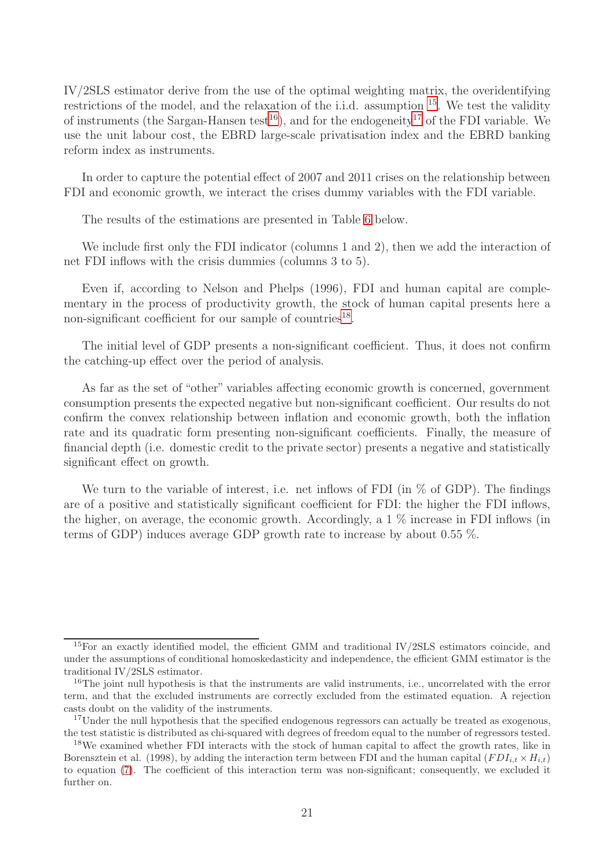IV/2SLS estimator derive from the use of the optimal weighting matrix, the overidentifying restrictions of the model, and the relaxation of the i.i.d. assumption <sup>15</sup>. We test the validity of instruments (the Sargan-Hansen test<sup>16</sup>), and for the endogeneity<sup>17</sup> of the FDI variable. We use the unit labour cost, the EBRD large-scale privatisation index and the EBRD banking reform index as instruments.

In order to capture the potential effect of 2007 and 2011 crises on the relationship between FDI and economic growth, we interact the crises dummy variables with the FDI variable.

The results of the estimations are presented in Table [6](#page-23-0) below.

We include first only the FDI indicator (columns 1 and 2), then we add the interaction of net FDI inflows with the crisis dummies (columns 3 to 5).

Even if, according to Nelson and Phelps (1996), FDI and human capital are complementary in the process of productivity growth, the stock of human capital presents here a non-significant coefficient for our sample of countries<sup>18</sup>.

The initial level of GDP presents a non-significant coefficient. Thus, it does not confirm the catching-up effect over the period of analysis.

As far as the set of "other" variables affecting economic growth is concerned, government consumption presents the expected negative but non-significant coefficient. Our results do not confirm the convex relationship between inflation and economic growth, both the inflation rate and its quadratic form presenting non-significant coefficients. Finally, the measure of financial depth (i.e. domestic credit to the private sector) presents a negative and statistically significant effect on growth.

We turn to the variable of interest, i.e. net inflows of FDI (in  $\%$  of GDP). The findings are of a positive and statistically significant coefficient for FDI: the higher the FDI inflows, the higher, on average, the economic growth. Accordingly, a  $1\%$  increase in FDI inflows (in terms of GDP) induces average GDP growth rate to increase by about 0.55 %.

<sup>&</sup>lt;sup>15</sup>For an exactly identified model, the efficient GMM and traditional IV/2SLS estimators coincide, and under the assumptions of conditional homoskedasticity and independence, the efficient GMM estimator is the traditional IV/2SLS estimator.

<sup>&</sup>lt;sup>16</sup>The joint null hypothesis is that the instruments are valid instruments, i.e., uncorrelated with the error term, and that the excluded instruments are correctly excluded from the estimated equation. A rejection casts doubt on the validity of the instruments.

<sup>&</sup>lt;sup>17</sup>Under the null hypothesis that the specified endogenous regressors can actually be treated as exogenous, the test statistic is distributed as chi-squared with degrees of freedom equal to the number of regressors tested.

<sup>18</sup>We examined whether FDI interacts with the stock of human capital to affect the growth rates, like in Borensztein et al. (1998), by adding the interaction term between FDI and the human capital ( $FDI_{i,t} \times H_{i,t}$ ) to equation [\(7\)](#page-21-0). The coefficient of this interaction term was non-significant; consequently, we excluded it further on.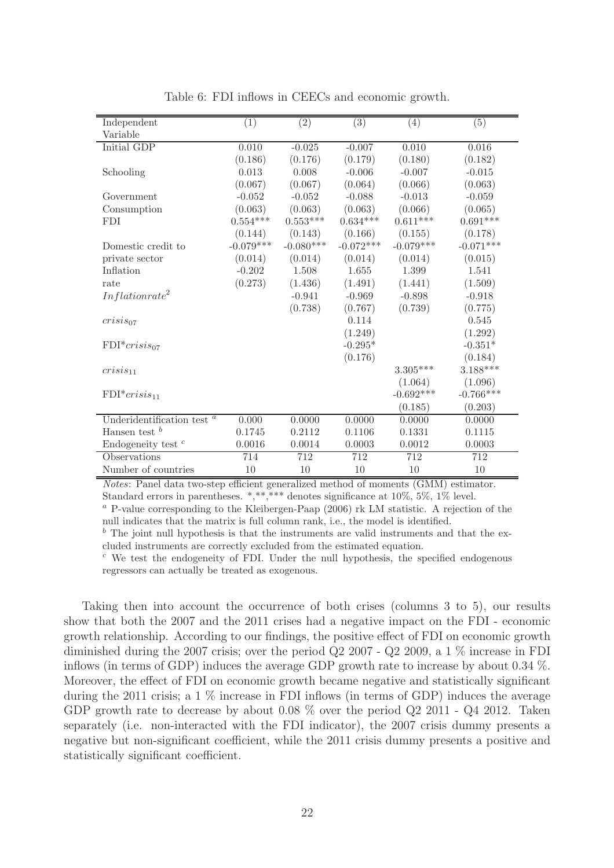| Independent                  | (1)         | $\overline{(2)}$ | $\overline{(3)}$ | (4)         | $\overline{(5)}$ |
|------------------------------|-------------|------------------|------------------|-------------|------------------|
| Variable                     |             |                  |                  |             |                  |
| Initial GDP                  | 0.010       | $-0.025$         | $-0.007$         | 0.010       | 0.016            |
|                              | (0.186)     | (0.176)          | (0.179)          | (0.180)     | (0.182)          |
| Schooling                    | 0.013       | 0.008            | $-0.006$         | $-0.007$    | $-0.015$         |
|                              | (0.067)     | (0.067)          | (0.064)          | (0.066)     | (0.063)          |
| Government                   | $-0.052$    | $-0.052$         | $-0.088$         | $-0.013$    | $-0.059$         |
| Consumption                  | (0.063)     | (0.063)          | (0.063)          | (0.066)     | (0.065)          |
| <b>FDI</b>                   | $0.554***$  | $0.553***$       | $0.634***$       | $0.611***$  | $0.691***$       |
|                              | (0.144)     | (0.143)          | (0.166)          | (0.155)     | (0.178)          |
| Domestic credit to           | $-0.079***$ | $-0.080***$      | $-0.072***$      | $-0.079***$ | $-0.071***$      |
| private sector               | (0.014)     | (0.014)          | (0.014)          | (0.014)     | (0.015)          |
| Inflation                    | $-0.202$    | 1.508            | 1.655            | 1.399       | 1.541            |
| rate                         | (0.273)     | (1.436)          | (1.491)          | (1.441)     | (1.509)          |
| Inflation rate <sup>2</sup>  |             | $-0.941$         | $-0.969$         | $-0.898$    | $-0.918$         |
|                              |             | (0.738)          | (0.767)          | (0.739)     | (0.775)          |
| crisis <sub>07</sub>         |             |                  | 0.114            |             | 0.545            |
|                              |             |                  | (1.249)          |             | (1.292)          |
| $FDI^*crisis_{07}$           |             |                  | $-0.295*$        |             | $-0.351*$        |
|                              |             |                  | (0.176)          |             | (0.184)          |
| $crisis_{11}$                |             |                  |                  | $3.305***$  | $3.188***$       |
|                              |             |                  |                  | (1.064)     | (1.096)          |
| $FDI^*crisis_{11}$           |             |                  |                  | $-0.692***$ | $-0.766***$      |
|                              |             |                  |                  | (0.185)     | (0.203)          |
| Underidentification test $a$ | 0.000       | 0.0000           | 0.0000           | 0.0000      | 0.0000           |
| Hansen test $b$              | 0.1745      | 0.2112           | 0.1106           | 0.1331      | 0.1115           |
| Endogeneity test $c$         | 0.0016      | 0.0014           | 0.0003           | 0.0012      | 0.0003           |
| Observations                 | 714         | 712              | 712              | 712         | 712              |
| Number of countries          | 10          | 10               | 10               | 10          | 10               |

<span id="page-23-0"></span>Table 6: FDI inflows in CEECs and economic growth.

Notes: Panel data two-step efficient generalized method of moments (GMM) estimator. Standard errors in parentheses. \*,\*\*,\*\*\* denotes significance at  $10\%$ ,  $5\%$ ,  $1\%$  level.

*<sup>a</sup>* P-value corresponding to the Kleibergen-Paap (2006) rk LM statistic. A rejection of the null indicates that the matrix is full column rank, i.e., the model is identified.

*<sup>b</sup>* The joint null hypothesis is that the instruments are valid instruments and that the excluded instruments are correctly excluded from the estimated equation.

*<sup>c</sup>* We test the endogeneity of FDI. Under the null hypothesis, the specified endogenous regressors can actually be treated as exogenous.

Taking then into account the occurrence of both crises (columns 3 to 5), our results show that both the 2007 and the 2011 crises had a negative impact on the FDI - economic growth relationship. According to our findings, the positive effect of FDI on economic growth diminished during the 2007 crisis; over the period Q2 2007 - Q2 2009, a 1 % increase in FDI inflows (in terms of GDP) induces the average GDP growth rate to increase by about 0.34 %. Moreover, the effect of FDI on economic growth became negative and statistically significant during the 2011 crisis; a  $1\%$  increase in FDI inflows (in terms of GDP) induces the average GDP growth rate to decrease by about 0.08 % over the period Q2 2011 - Q4 2012. Taken separately (i.e. non-interacted with the FDI indicator), the 2007 crisis dummy presents a negative but non-significant coefficient, while the 2011 crisis dummy presents a positive and statistically significant coefficient.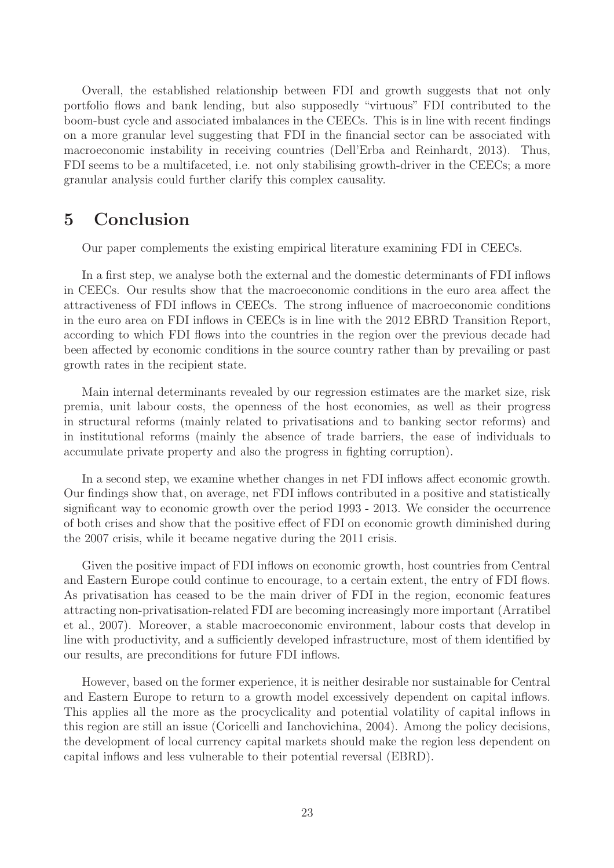Overall, the established relationship between FDI and growth suggests that not only portfolio flows and bank lending, but also supposedly "virtuous" FDI contributed to the boom-bust cycle and associated imbalances in the CEECs. This is in line with recent findings on a more granular level suggesting that FDI in the financial sector can be associated with macroeconomic instability in receiving countries (Dell'Erba and Reinhardt, 2013). Thus, FDI seems to be a multifaceted, i.e. not only stabilising growth-driver in the CEECs; a more granular analysis could further clarify this complex causality.

### 5 Conclusion

Our paper complements the existing empirical literature examining FDI in CEECs.

In a first step, we analyse both the external and the domestic determinants of FDI inflows in CEECs. Our results show that the macroeconomic conditions in the euro area affect the attractiveness of FDI inflows in CEECs. The strong influence of macroeconomic conditions in the euro area on FDI inflows in CEECs is in line with the 2012 EBRD Transition Report, according to which FDI flows into the countries in the region over the previous decade had been affected by economic conditions in the source country rather than by prevailing or past growth rates in the recipient state.

Main internal determinants revealed by our regression estimates are the market size, risk premia, unit labour costs, the openness of the host economies, as well as their progress in structural reforms (mainly related to privatisations and to banking sector reforms) and in institutional reforms (mainly the absence of trade barriers, the ease of individuals to accumulate private property and also the progress in fighting corruption).

In a second step, we examine whether changes in net FDI inflows affect economic growth. Our findings show that, on average, net FDI inflows contributed in a positive and statistically significant way to economic growth over the period 1993 - 2013. We consider the occurrence of both crises and show that the positive effect of FDI on economic growth diminished during the 2007 crisis, while it became negative during the 2011 crisis.

Given the positive impact of FDI inflows on economic growth, host countries from Central and Eastern Europe could continue to encourage, to a certain extent, the entry of FDI flows. As privatisation has ceased to be the main driver of FDI in the region, economic features attracting non-privatisation-related FDI are becoming increasingly more important (Arratibel et al., 2007). Moreover, a stable macroeconomic environment, labour costs that develop in line with productivity, and a sufficiently developed infrastructure, most of them identified by our results, are preconditions for future FDI inflows.

However, based on the former experience, it is neither desirable nor sustainable for Central and Eastern Europe to return to a growth model excessively dependent on capital inflows. This applies all the more as the procyclicality and potential volatility of capital inflows in this region are still an issue (Coricelli and Ianchovichina, 2004). Among the policy decisions, the development of local currency capital markets should make the region less dependent on capital inflows and less vulnerable to their potential reversal (EBRD).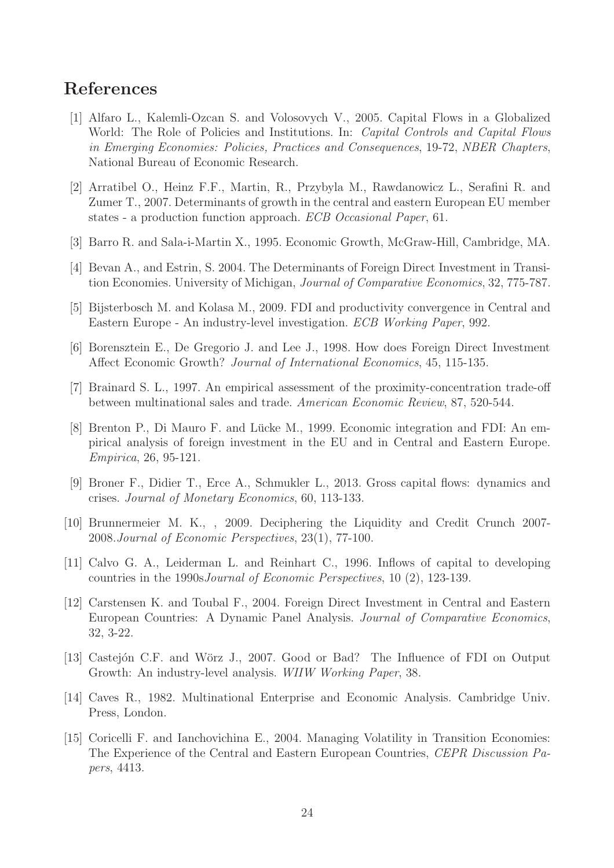## References

- [1] Alfaro L., Kalemli-Ozcan S. and Volosovych V., 2005. Capital Flows in a Globalized World: The Role of Policies and Institutions. In: *Capital Controls and Capital Flows* in Emerging Economies: Policies, Practices and Consequences, 19-72, NBER Chapters, National Bureau of Economic Research.
- [2] Arratibel O., Heinz F.F., Martin, R., Przybyla M., Rawdanowicz L., Serafini R. and Zumer T., 2007. Determinants of growth in the central and eastern European EU member states - a production function approach. ECB Occasional Paper, 61.
- [3] Barro R. and Sala-i-Martin X., 1995. Economic Growth, McGraw-Hill, Cambridge, MA.
- [4] Bevan A., and Estrin, S. 2004. The Determinants of Foreign Direct Investment in Transition Economies. University of Michigan, Journal of Comparative Economics, 32, 775-787.
- [5] Bijsterbosch M. and Kolasa M., 2009. FDI and productivity convergence in Central and Eastern Europe - An industry-level investigation. ECB Working Paper, 992.
- [6] Borensztein E., De Gregorio J. and Lee J., 1998. How does Foreign Direct Investment Affect Economic Growth? Journal of International Economics, 45, 115-135.
- [7] Brainard S. L., 1997. An empirical assessment of the proximity-concentration trade-off between multinational sales and trade. American Economic Review, 87, 520-544.
- [8] Brenton P., Di Mauro F. and Lücke M., 1999. Economic integration and FDI: An empirical analysis of foreign investment in the EU and in Central and Eastern Europe. Empirica, 26, 95-121.
- [9] Broner F., Didier T., Erce A., Schmukler L., 2013. Gross capital flows: dynamics and crises. Journal of Monetary Economics, 60, 113-133.
- [10] Brunnermeier M. K., , 2009. Deciphering the Liquidity and Credit Crunch 2007- 2008.Journal of Economic Perspectives, 23(1), 77-100.
- [11] Calvo G. A., Leiderman L. and Reinhart C., 1996. Inflows of capital to developing countries in the 1990sJournal of Economic Perspectives, 10 (2), 123-139.
- [12] Carstensen K. and Toubal F., 2004. Foreign Direct Investment in Central and Eastern European Countries: A Dynamic Panel Analysis. Journal of Comparative Economics, 32, 3-22.
- [13] Castejon C.F. and Wörz J., 2007. Good or Bad? The Influence of FDI on Output Growth: An industry-level analysis. WIIW Working Paper, 38.
- [14] Caves R., 1982. Multinational Enterprise and Economic Analysis. Cambridge Univ. Press, London.
- [15] Coricelli F. and Ianchovichina E., 2004. Managing Volatility in Transition Economies: The Experience of the Central and Eastern European Countries, CEPR Discussion Papers, 4413.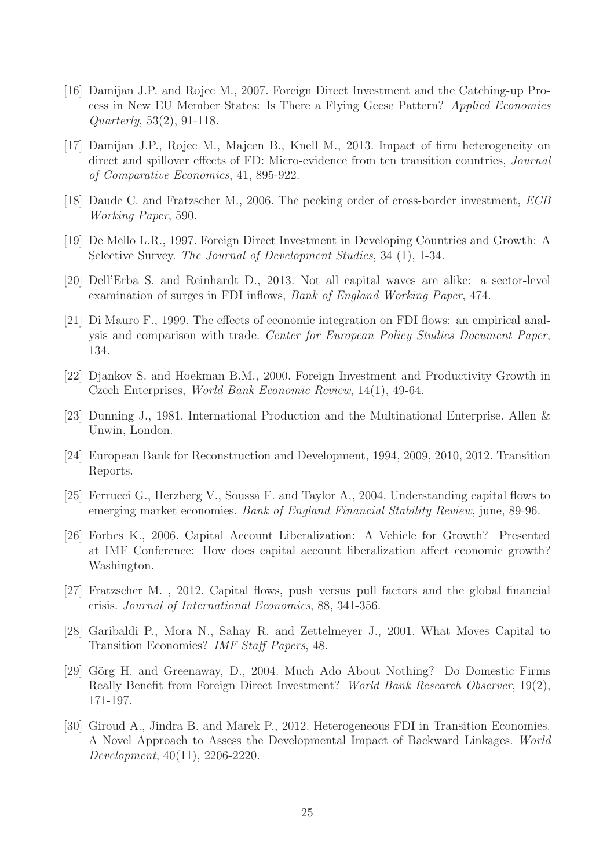- [16] Damijan J.P. and Rojec M., 2007. Foreign Direct Investment and the Catching-up Process in New EU Member States: Is There a Flying Geese Pattern? Applied Economics Quarterly, 53(2), 91-118.
- [17] Damijan J.P., Rojec M., Majcen B., Knell M., 2013. Impact of firm heterogeneity on direct and spillover effects of FD: Micro-evidence from ten transition countries, *Journal* of Comparative Economics, 41, 895-922.
- [18] Daude C. and Fratzscher M., 2006. The pecking order of cross-border investment, ECB Working Paper, 590.
- [19] De Mello L.R., 1997. Foreign Direct Investment in Developing Countries and Growth: A Selective Survey. The Journal of Development Studies, 34 (1), 1-34.
- [20] Dell'Erba S. and Reinhardt D., 2013. Not all capital waves are alike: a sector-level examination of surges in FDI inflows, Bank of England Working Paper, 474.
- [21] Di Mauro F., 1999. The effects of economic integration on FDI flows: an empirical analysis and comparison with trade. Center for European Policy Studies Document Paper, 134.
- [22] Djankov S. and Hoekman B.M., 2000. Foreign Investment and Productivity Growth in Czech Enterprises, World Bank Economic Review, 14(1), 49-64.
- [23] Dunning J., 1981. International Production and the Multinational Enterprise. Allen & Unwin, London.
- [24] European Bank for Reconstruction and Development, 1994, 2009, 2010, 2012. Transition Reports.
- [25] Ferrucci G., Herzberg V., Soussa F. and Taylor A., 2004. Understanding capital flows to emerging market economies. Bank of England Financial Stability Review, june, 89-96.
- [26] Forbes K., 2006. Capital Account Liberalization: A Vehicle for Growth? Presented at IMF Conference: How does capital account liberalization affect economic growth? Washington.
- [27] Fratzscher M. , 2012. Capital flows, push versus pull factors and the global financial crisis. Journal of International Economics, 88, 341-356.
- [28] Garibaldi P., Mora N., Sahay R. and Zettelmeyer J., 2001. What Moves Capital to Transition Economies? IMF Staff Papers, 48.
- [29] Görg H. and Greenaway, D., 2004. Much Ado About Nothing? Do Domestic Firms Really Benefit from Foreign Direct Investment? World Bank Research Observer, 19(2), 171-197.
- [30] Giroud A., Jindra B. and Marek P., 2012. Heterogeneous FDI in Transition Economies. A Novel Approach to Assess the Developmental Impact of Backward Linkages. World Development, 40(11), 2206-2220.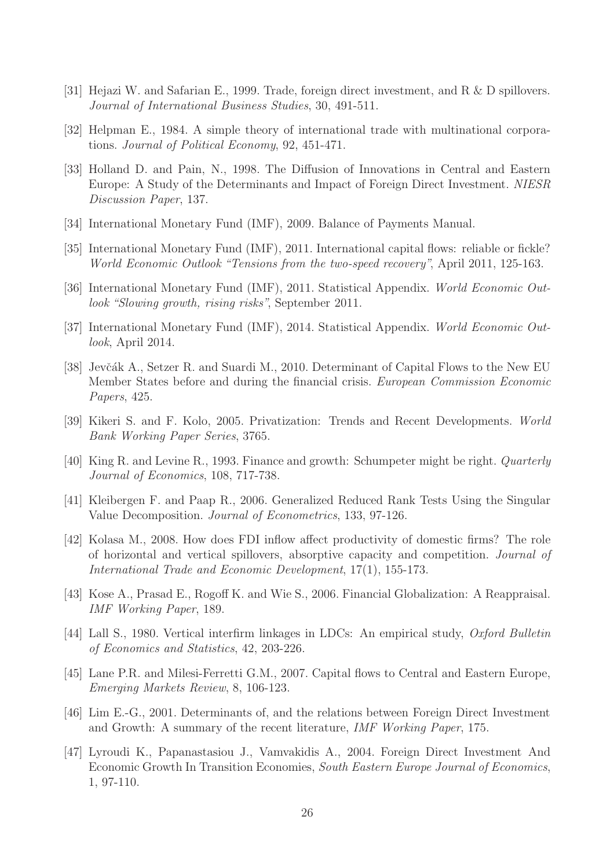- [31] Hejazi W. and Safarian E., 1999. Trade, foreign direct investment, and R & D spillovers. Journal of International Business Studies, 30, 491-511.
- [32] Helpman E., 1984. A simple theory of international trade with multinational corporations. Journal of Political Economy, 92, 451-471.
- [33] Holland D. and Pain, N., 1998. The Diffusion of Innovations in Central and Eastern Europe: A Study of the Determinants and Impact of Foreign Direct Investment. NIESR Discussion Paper, 137.
- [34] International Monetary Fund (IMF), 2009. Balance of Payments Manual.
- [35] International Monetary Fund (IMF), 2011. International capital flows: reliable or fickle? World Economic Outlook "Tensions from the two-speed recovery", April 2011, 125-163.
- [36] International Monetary Fund (IMF), 2011. Statistical Appendix. World Economic Outlook "Slowing growth, rising risks", September 2011.
- [37] International Monetary Fund (IMF), 2014. Statistical Appendix. World Economic Outlook, April 2014.
- [38] Jevčák A., Setzer R. and Suardi M., 2010. Determinant of Capital Flows to the New EU Member States before and during the financial crisis. European Commission Economic Papers, 425.
- [39] Kikeri S. and F. Kolo, 2005. Privatization: Trends and Recent Developments. World Bank Working Paper Series, 3765.
- [40] King R. and Levine R., 1993. Finance and growth: Schumpeter might be right. Quarterly Journal of Economics, 108, 717-738.
- [41] Kleibergen F. and Paap R., 2006. Generalized Reduced Rank Tests Using the Singular Value Decomposition. Journal of Econometrics, 133, 97-126.
- [42] Kolasa M., 2008. How does FDI inflow affect productivity of domestic firms? The role of horizontal and vertical spillovers, absorptive capacity and competition. Journal of International Trade and Economic Development, 17(1), 155-173.
- [43] Kose A., Prasad E., Rogoff K. and Wie S., 2006. Financial Globalization: A Reappraisal. IMF Working Paper, 189.
- [44] Lall S., 1980. Vertical interfirm linkages in LDCs: An empirical study, *Oxford Bulletin* of Economics and Statistics, 42, 203-226.
- [45] Lane P.R. and Milesi-Ferretti G.M., 2007. Capital flows to Central and Eastern Europe, Emerging Markets Review, 8, 106-123.
- [46] Lim E.-G., 2001. Determinants of, and the relations between Foreign Direct Investment and Growth: A summary of the recent literature, IMF Working Paper, 175.
- [47] Lyroudi K., Papanastasiou J., Vamvakidis A., 2004. Foreign Direct Investment And Economic Growth In Transition Economies, South Eastern Europe Journal of Economics, 1, 97-110.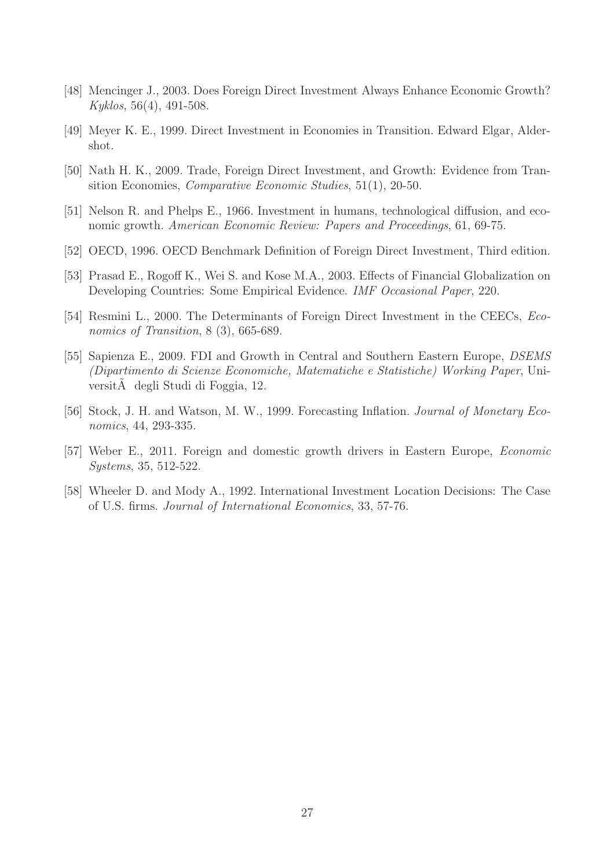- [48] Mencinger J., 2003. Does Foreign Direct Investment Always Enhance Economic Growth?  $Kyklos, 56(4), 491-508.$
- [49] Meyer K. E., 1999. Direct Investment in Economies in Transition. Edward Elgar, Aldershot.
- [50] Nath H. K., 2009. Trade, Foreign Direct Investment, and Growth: Evidence from Transition Economies, Comparative Economic Studies, 51(1), 20-50.
- [51] Nelson R. and Phelps E., 1966. Investment in humans, technological diffusion, and economic growth. American Economic Review: Papers and Proceedings, 61, 69-75.
- [52] OECD, 1996. OECD Benchmark Definition of Foreign Direct Investment, Third edition.
- [53] Prasad E., Rogoff K., Wei S. and Kose M.A., 2003. Effects of Financial Globalization on Developing Countries: Some Empirical Evidence. IMF Occasional Paper, 220.
- [54] Resmini L., 2000. The Determinants of Foreign Direct Investment in the CEECs, Economics of Transition, 8 (3), 665-689.
- [55] Sapienza E., 2009. FDI and Growth in Central and Southern Eastern Europe, DSEMS (Dipartimento di Scienze Economiche, Matematiche e Statistiche) Working Paper, UniversitA degli Studi di Foggia, 12.
- [56] Stock, J. H. and Watson, M. W., 1999. Forecasting Inflation. Journal of Monetary Economics, 44, 293-335.
- [57] Weber E., 2011. Foreign and domestic growth drivers in Eastern Europe, Economic Systems, 35, 512-522.
- [58] Wheeler D. and Mody A., 1992. International Investment Location Decisions: The Case of U.S. firms. Journal of International Economics, 33, 57-76.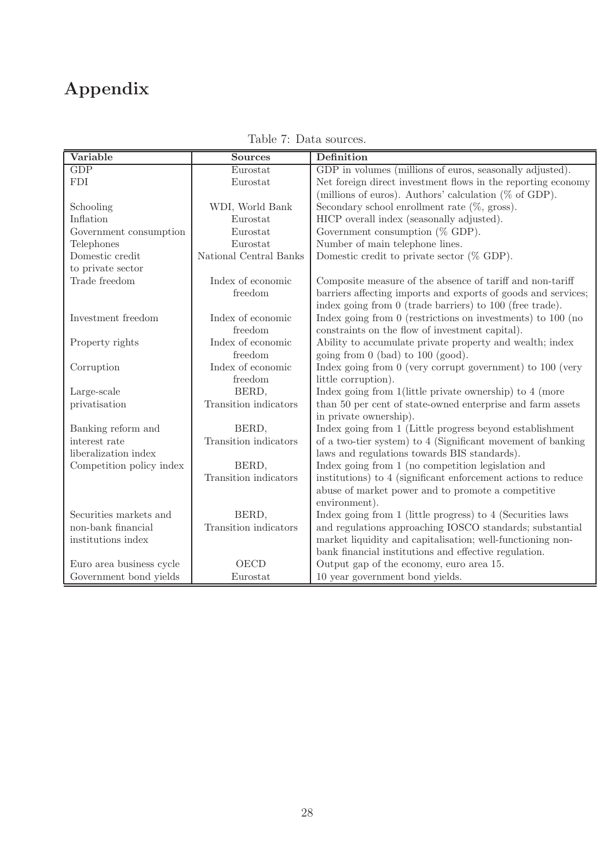## Appendix

| Variable                 | <b>Sources</b>         | <b>Definition</b>                                               |
|--------------------------|------------------------|-----------------------------------------------------------------|
| GDP                      | Eurostat               | GDP in volumes (millions of euros, seasonally adjusted).        |
| FDI                      | Eurostat               | Net foreign direct investment flows in the reporting economy    |
|                          |                        | (millions of euros). Authors' calculation ( $\%$ of GDP).       |
| Schooling                | WDI, World Bank        | Secondary school enrollment rate $(\%$ , gross).                |
| Inflation                | Eurostat               | HICP overall index (seasonally adjusted).                       |
| Government consumption   | Eurostat               | Government consumption (% GDP).                                 |
| Telephones               | Eurostat               | Number of main telephone lines.                                 |
| Domestic credit          | National Central Banks | Domestic credit to private sector $(\%$ GDP).                   |
| to private sector        |                        |                                                                 |
| Trade freedom            | Index of economic      | Composite measure of the absence of tariff and non-tariff       |
|                          | freedom                | barriers affecting imports and exports of goods and services;   |
|                          |                        | index going from 0 (trade barriers) to 100 (free trade).        |
| Investment freedom       | Index of economic      | Index going from $0$ (restrictions on investments) to $100$ (no |
|                          | freedom                | constraints on the flow of investment capital).                 |
| Property rights          | Index of economic      | Ability to accumulate private property and wealth; index        |
|                          | freedom                | going from $0$ (bad) to $100$ (good).                           |
| Corruption               | Index of economic      | Index going from $0$ (very corrupt government) to $100$ (very   |
|                          | freedom                | little corruption).                                             |
| Large-scale              | BERD,                  | Index going from 1 (little private ownership) to 4 (more        |
| privatisation            | Transition indicators  | than 50 per cent of state-owned enterprise and farm assets      |
|                          |                        | in private ownership).                                          |
| Banking reform and       | BERD,                  | Index going from 1 (Little progress beyond establishment        |
| interest rate            | Transition indicators  | of a two-tier system) to 4 (Significant movement of banking     |
| liberalization index     |                        | laws and regulations towards BIS standards).                    |
| Competition policy index | BERD,                  | Index going from 1 (no competition legislation and              |
|                          | Transition indicators  | institutions) to 4 (significant enforcement actions to reduce   |
|                          |                        | abuse of market power and to promote a competitive              |
|                          |                        | environment).                                                   |
| Securities markets and   | BERD,                  | Index going from 1 (little progress) to 4 (Securities laws      |
| non-bank financial       | Transition indicators  | and regulations approaching IOSCO standards; substantial        |
| institutions index       |                        | market liquidity and capitalisation; well-functioning non-      |
|                          |                        | bank financial institutions and effective regulation.           |
| Euro area business cycle | <b>OECD</b>            | Output gap of the economy, euro area 15.                        |
| Government bond yields   | Eurostat               | 10 year government bond yields.                                 |

#### <span id="page-29-0"></span>Table 7: Data sources.